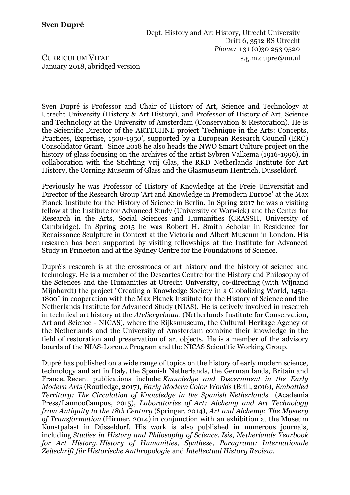Dept. History and Art History, Utrecht University Drift 6, 3512 BS Utrecht *Phone:* +31 (0)30 253 9520 CURRICULUM VITAE s.g.m.dupre@uu.nl

January 2018, abridged version

Sven Dupré is Professor and Chair of History of Art, Science and Technology at Utrecht University (History & Art History), and Professor of History of Art, Science and Technology at the University of Amsterdam (Conservation & Restoration). He is the Scientific Director of the ARTECHNE project 'Technique in the Arts: Concepts, Practices, Expertise, 1500-1950', supported by a European Research Council (ERC) Consolidator Grant. Since 2018 he also heads the NWO Smart Culture project on the history of glass focusing on the archives of the artist Sybren Valkema (1916-1996), in collaboration with the Stichting Vrij Glas, the RKD Netherlands Institute for Art History, the Corning Museum of Glass and the Glasmuseum Hentrich, Dusseldorf.

Previously he was Professor of History of Knowledge at the Freie Universität and Director of the Research Group 'Art and Knowledge in Premodern Europe' at the Max Planck Institute for the History of Science in Berlin. In Spring 2017 he was a visiting fellow at the Institute for Advanced Study (University of Warwick) and the Center for Research in the Arts, Social Sciences and Humanities (CRASSH, University of Cambridge). In Spring 2015 he was Robert H. Smith Scholar in Residence for Renaissance Sculpture in Context at the Victoria and Albert Museum in London. His research has been supported by visiting fellowships at the Institute for Advanced Study in Princeton and at the Sydney Centre for the Foundations of Science.

Dupré's research is at the crossroads of art history and the history of science and technology. He is a member of the Descartes Centre for the History and Philosophy of the Sciences and the Humanities at Utrecht University, co-directing (with Wijnand Mijnhardt) the project "Creating a Knowledge Society in a Globalizing World, 1450- 1800" in cooperation with the Max Planck Institute for the History of Science and the Netherlands Institute for Advanced Study (NIAS). He is actively involved in research in technical art history at the *Ateliergebouw* (Netherlands Institute for Conservation, Art and Science - NICAS), where the Rijksmuseum, the Cultural Heritage Agency of the Netherlands and the University of Amsterdam combine their knowledge in the field of restoration and preservation of art objects. He is a member of the advisory boards of the NIAS-Lorentz Program and the NICAS Scientific Working Group.

Dupré has published on a wide range of topics on the history of early modern science, technology and art in Italy, the Spanish Netherlands, the German lands, Britain and France. Recent publications include: *Knowledge and Discernment in the Early Modern Arts* (Routledge, 2017), *Early Modern Color Worlds* (Brill, 2016), *Embattled Territory: The Circulation of Knowledge in the Spanish Netherlands* (Academia Press/LannooCampus, 2015), *Laboratories of Art: Alchemy and Art Technology from Antiquity to the 18th Century* (Springer, 2014), *Art and Alchemy: The Mystery of Transformation* (Hirmer, 2014) in conjunction with an exhibition at the Museum Kunstpalast in Düsseldorf. His work is also published in numerous journals, including *Studies in History and Philosophy of Science, Isis*, *Netherlands Yearbook for Art History, History of Humanities*, *Synthese, Paragrana: Internationale Zeitschrift für Historische Anthropologie* and *Intellectual History Review*.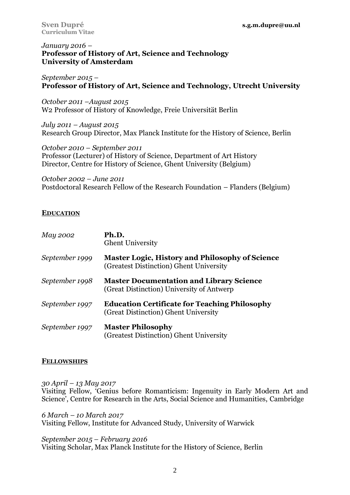## *January 2016 –* **Professor of History of Art, Science and Technology University of Amsterdam**

*September 2015 –* **Professor of History of Art, Science and Technology, Utrecht University**

*October 2011 –August 2015* W2 Professor of History of Knowledge, Freie Universität Berlin

*July 2011 – August 2015* Research Group Director, Max Planck Institute for the History of Science, Berlin

*October 2010 – September 2011* Professor (Lecturer) of History of Science, Department of Art History Director, Centre for History of Science, Ghent University (Belgium)

*October 2002 – June 2011* Postdoctoral Research Fellow of the Research Foundation – Flanders (Belgium)

# **EDUCATION**

| May 2002       | Ph.D.<br><b>Ghent University</b>                                                                  |
|----------------|---------------------------------------------------------------------------------------------------|
| September 1999 | <b>Master Logic, History and Philosophy of Science</b><br>(Greatest Distinction) Ghent University |
| September 1998 | <b>Master Documentation and Library Science</b><br>(Great Distinction) University of Antwerp      |
| September 1997 | <b>Education Certificate for Teaching Philosophy</b><br>(Great Distinction) Ghent University      |
| September 1997 | <b>Master Philosophy</b><br>(Greatest Distinction) Ghent University                               |

## **FELLOWSHIPS**

*30 April – 13 May 2017* Visiting Fellow, 'Genius before Romanticism: Ingenuity in Early Modern Art and Science', Centre for Research in the Arts, Social Science and Humanities, Cambridge

*6 March – 10 March 2017* Visiting Fellow, Institute for Advanced Study, University of Warwick

#### *September 2015 – February 2016* Visiting Scholar, Max Planck Institute for the History of Science, Berlin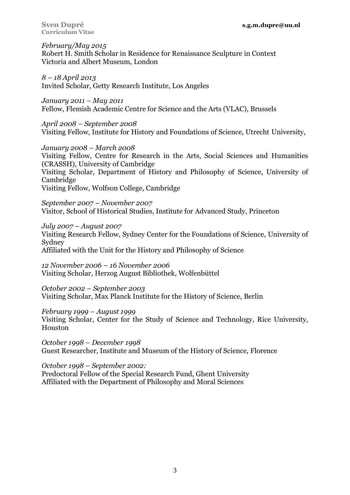**Curriculum Vitae**

*February/May 2015* Robert H. Smith Scholar in Residence for Renaissance Sculpture in Context Victoria and Albert Museum, London

*8 – 18 April 2013* Invited Scholar, Getty Research Institute, Los Angeles

*January 2011 – May 2011* Fellow, Flemish Academic Centre for Science and the Arts (VLAC), Brussels

*April 2008 – September 2008* Visiting Fellow, Institute for History and Foundations of Science, Utrecht University,

*January 2008 – March 2008* Visiting Fellow, Centre for Research in the Arts, Social Sciences and Humanities (CRASSH), University of Cambridge Visiting Scholar, Department of History and Philosophy of Science, University of Cambridge Visiting Fellow, Wolfson College, Cambridge

*September 2007 – November 2007* Visitor, School of Historical Studies, Institute for Advanced Study, Princeton

*July 2007 – August 2007* Visiting Research Fellow, Sydney Center for the Foundations of Science, University of Sydney Affiliated with the Unit for the History and Philosophy of Science

*12 November 2006 – 16 November 2006* Visiting Scholar, Herzog August Bibliothek, Wolfenbüttel

*October 2002 – September 2003* Visiting Scholar, Max Planck Institute for the History of Science, Berlin

*February 1999 – August 1999*

Visiting Scholar, Center for the Study of Science and Technology, Rice University, Houston

*October 1998 – December 1998* Guest Researcher, Institute and Museum of the History of Science, Florence

*October 1998 – September 2002:* 

Predoctoral Fellow of the Special Research Fund, Ghent University Affiliated with the Department of Philosophy and Moral Sciences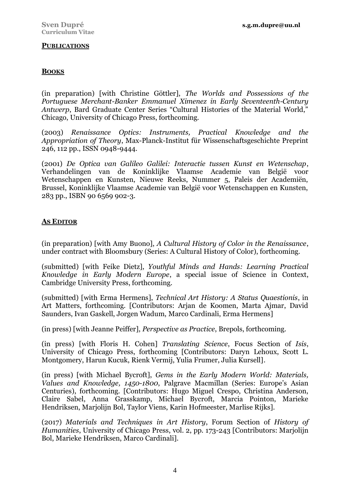## **PUBLICATIONS**

### **BOOKS**

(in preparation) [with Christine Göttler], *The Worlds and Possessions of the Portuguese Merchant-Banker Emmanuel Ximenez in Early Seventeenth-Century Antwerp*, Bard Graduate Center Series "Cultural Histories of the Material World," Chicago, University of Chicago Press, forthcoming.

(2003) *Renaissance Optics: Instruments, Practical Knowledge and the Appropriation of Theory*, Max-Planck-Institut für Wissenschaftsgeschichte Preprint 246, 112 pp., ISSN 0948-9444.

(2001) *De Optica van Galileo Galilei: Interactie tussen Kunst en Wetenschap*, Verhandelingen van de Koninklijke Vlaamse Academie van België voor Wetenschappen en Kunsten, Nieuwe Reeks, Nummer 5, Paleis der Academiën, Brussel, Koninklijke Vlaamse Academie van België voor Wetenschappen en Kunsten, 283 pp., ISBN 90 6569 902-3.

## **AS EDITOR**

(in preparation) [with Amy Buono], *A Cultural History of Color in the Renaissance*, under contract with Bloomsbury (Series: A Cultural History of Color), forthcoming.

(submitted) [with Feike Dietz], *Youthful Minds and Hands: Learning Practical Knowledge in Early Modern Europe*, a special issue of Science in Context, Cambridge University Press, forthcoming.

(submitted) [with Erma Hermens], *Technical Art History: A Status Quaestionis*, in Art Matters, forthcoming. [Contributors: Arjan de Koomen, Marta Ajmar, David Saunders, Ivan Gaskell, Jorgen Wadum, Marco Cardinali, Erma Hermens]

(in press) [with Jeanne Peiffer], *Perspective as Practice*, Brepols, forthcoming.

(in press) [with Floris H. Cohen] *Translating Science*, Focus Section of *Isis*, University of Chicago Press, forthcoming [Contributors: Daryn Lehoux, Scott L. Montgomery, Harun Kucuk, Rienk Vermij, Yulia Frumer, Julia Kursell].

(in press) [with Michael Bycroft], *Gems in the Early Modern World: Materials, Values and Knowledge, 1450-1800*, Palgrave Macmillan (Series: Europe's Asian Centuries), forthcoming. [Contributors: Hugo Miguel Crespo, Christina Anderson, Claire Sabel, Anna Grasskamp, Michael Bycroft, Marcia Pointon, Marieke Hendriksen, Marjolijn Bol, Taylor Viens, Karin Hofmeester, Marlise Rijks].

(2017) *Materials and Techniques in Art History*, Forum Section of *History of Humanities*, University of Chicago Press, vol. 2, pp. 173-243 [Contributors: Marjolijn Bol, Marieke Hendriksen, Marco Cardinali].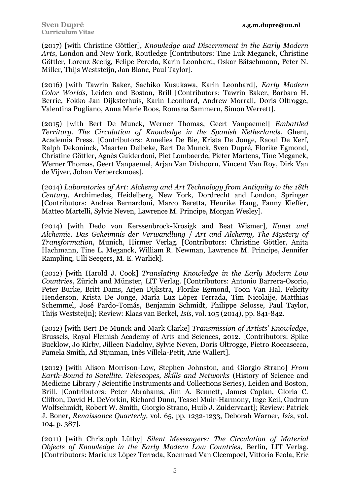(2017) [with Christine Göttler], *Knowledge and Discernment in the Early Modern Arts*, London and New York, Routledge [Contributors: Tine Luk Meganck, Christine Göttler, Lorenz Seelig, Felipe Pereda, Karin Leonhard, Oskar Bätschmann, Peter N. Miller, Thijs Weststeijn, Jan Blanc, Paul Taylor].

(2016) [with Tawrin Baker, Sachiko Kusukawa, Karin Leonhard], *Early Modern Color Worlds*, Leiden and Boston, Brill [Contributors: Tawrin Baker, Barbara H. Berrie, Fokko Jan Dijksterhuis, Karin Leonhard, Andrew Morrall, Doris Oltrogge, Valentina Pugliano, Anna Marie Roos, Romana Sammern, Simon Werrett].

(2015) [with Bert De Munck, Werner Thomas, Geert Vanpaemel] *Embattled Territory. The Circulation of Knowledge in the Spanish Netherlands*, Ghent, Academia Press. [Contributors: Annelies De Bie, Krista De Jonge, Raoul De Kerf, Ralph Dekoninck, Maarten Delbeke, Bert De Munck, Sven Dupré, Florike Egmond, Christine Göttler, Agnès Guiderdoni, Piet Lombaerde, Pieter Martens, Tine Meganck, Werner Thomas, Geert Vanpaemel, Arjan Van Dixhoorn, Vincent Van Roy, Dirk Van de Vijver, Johan Verberckmoes].

(2014) *Laboratories of Art: Alchemy and Art Technology from Antiquity to the 18th Century*, Archimedes, Heidelberg, New York, Dordrecht and London, Springer [Contributors: Andrea Bernardoni, Marco Beretta, Henrike Haug, Fanny Kieffer, Matteo Martelli, Sylvie Neven, Lawrence M. Principe, Morgan Wesley].

(2014) [with Dedo von Kerssenbrock-Krosigk and Beat Wismer], *Kunst und Alchemie. Das Geheimnis der Verwandlung* / *Art and Alchemy, The Mystery of Transformation*, Munich, Hirmer Verlag. [Contributors: Christine Göttler, Anita Hachmann, Tine L. Meganck, William R. Newman, Lawrence M. Principe, Jennifer Rampling, Ulli Seegers, M. E. Warlick].

(2012) [with Harold J. Cook] *Translating Knowledge in the Early Modern Low Countries*, Zürich and Münster, LIT Verlag. [Contributors: Antonio Barrera-Osorio, Peter Burke, Britt Dams, Arjen Dijkstra, Florike Egmond, Toon Van Hal, Felicity Henderson, Krista De Jonge, María Luz López Terrada, Tim Nicolaije, Matthias Schemmel, José Pardo-Tomás, Benjamin Schmidt, Philippe Selosse, Paul Taylor, Thijs Weststeijn]; Review: Klaas van Berkel, *Isis*, vol. 105 (2014), pp. 841-842.

(2012) [with Bert De Munck and Mark Clarke] *Transmission of Artists' Knowledge*, Brussels, Royal Flemish Academy of Arts and Sciences, 2012. [Contributors: Spike Bucklow, Jo Kirby, Jilleen Nadolny, Sylvie Neven, Doris Oltrogge, Pietro Roccasecca, Pamela Smith, Ad Stijnman, Inès Villela-Petit, Arie Wallert].

(2012) [with Alison Morrison-Low, Stephen Johnston, and Giorgio Strano] *From Earth-Bound to Satellite. Telescopes, Skills and Networks* (History of Science and Medicine Library / Scientific Instruments and Collections Series), Leiden and Boston, Brill. [Contributors: Peter Abrahams, Jim A. Bennett, James Caplan, Gloria C. Clifton, David H. DeVorkin, Richard Dunn, Teasel Muir-Harmony, Inge Keil, Gudrun Wolfschmidt, Robert W. Smith, Giorgio Strano, Huib J. Zuidervaart]; Review: Patrick J. Boner, *Renaissance Quarterly,* vol. 65, pp. 1232-1233, Deborah Warner, *Isis*, vol. 104, p. 387].

(2011) [with Christoph Lüthy] *Silent Messengers: The Circulation of Material Objects of Knowledge in the Early Modern Low Countries*, Berlin, LIT Verlag. [Contributors: Maríaluz López Terrada, Koenraad Van Cleempoel, Vittoria Feola, Eric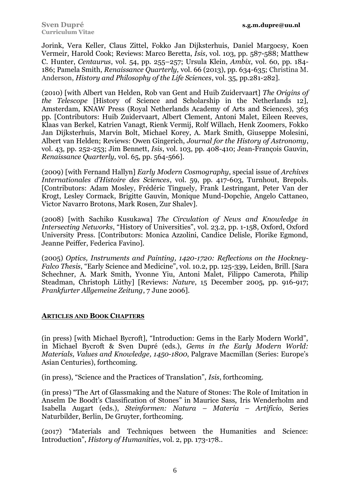Jorink, Vera Keller, Claus Zittel, Fokko Jan Dijksterhuis, Daniel Margocsy, Koen Vermeir, Harold Cook; Reviews: Marco Beretta, *Isis*, vol. 103, pp. 587-588; Matthew C. Hunter, *Centaurus*, vol. 54, pp. 255–257; Ursula Klein, *Ambix*, vol. 60, pp. 184- 186; Pamela Smith, *Renaissance Quarterly,* vol. 66 (2013), pp. 634-635; Christina M. Anderson, *History and Philosophy of the Life Sciences*, vol. 35, pp.281-282].

(2010) [with Albert van Helden, Rob van Gent and Huib Zuidervaart] *The Origins of the Telescope* [History of Science and Scholarship in the Netherlands 12], Amsterdam, KNAW Press (Royal Netherlands Academy of Arts and Sciences), 363 pp. [Contributors: Huib Zuidervaart, Albert Clement, Antoni Malet, Eileen Reeves, Klaas van Berkel, Katrien Vanagt, Rienk Vermij, Rolf Willach, Henk Zoomers, Fokko Jan Dijksterhuis, Marvin Bolt, Michael Korey, A. Mark Smith, Giuseppe Molesini, Albert van Helden; Reviews: Owen Gingerich, *Journal for the History of Astronomy*, vol. 43, pp. 252-253; Jim Bennett, *Isis*, vol. 103, pp. 408-410; Jean-François Gauvin, *Renaissance Quarterly,* vol. 65, pp. 564-566].

(2009) [with Fernand Hallyn] *Early Modern Cosmography*, special issue of *Archives Internationales d'Histoire des Sciences*, vol. 59, pp. 417-603, Turnhout, Brepols. [Contributors: Adam Mosley, Frédéric Tinguely, Frank Lestringant, Peter Van der Krogt, Lesley Cormack, Brigitte Gauvin, Monique Mund-Dopchie, Angelo Cattaneo, Victor Navarro Brotons, Mark Rosen, Zur Shalev].

(2008) [with Sachiko Kusukawa] *The Circulation of News and Knowledge in Intersecting Networks*, "History of Universities", vol. 23.2, pp. 1-158, Oxford, Oxford University Press. [Contributors: Monica Azzolini, Candice Delisle, Florike Egmond, Jeanne Peiffer, Federica Favino].

(2005) *Optics, Instruments and Painting, 1420-1720: Reflections on the Hockney-Falco Thesis*, "Early Science and Medicine", vol. 10.2, pp. 125-339, Leiden, Brill. [Sara Schechner, A. Mark Smith, Yvonne Yiu, Antoni Malet, Filippo Camerota, Philip Steadman, Christoph Lüthy] [Reviews: *Nature*, 15 December 2005, pp. 916-917; *Frankfurter Allgemeine Zeitung*, 7 June 2006].

# **ARTICLES AND BOOK CHAPTERS**

(in press) [with Michael Bycroft], "Introduction: Gems in the Early Modern World", in Michael Bycroft & Sven Dupré (eds.), *Gems in the Early Modern World: Materials, Values and Knowledge, 1450-1800*, Palgrave Macmillan (Series: Europe's Asian Centuries), forthcoming.

(in press), "Science and the Practices of Translation", *Isis*, forthcoming.

(in press) "The Art of Glassmaking and the Nature of Stones: The Role of Imitation in Anselm De Boodt's Classification of Stones" in Maurice Sass, Iris Wenderholm and Isabella Augart (eds.), *Steinformen: Natura – Materia – Artificio*, Series Naturbilder, Berlin, De Gruyter, forthcoming.

(2017) "Materials and Techniques between the Humanities and Science: Introduction", *History of Humanities*, vol. 2, pp. 173-178..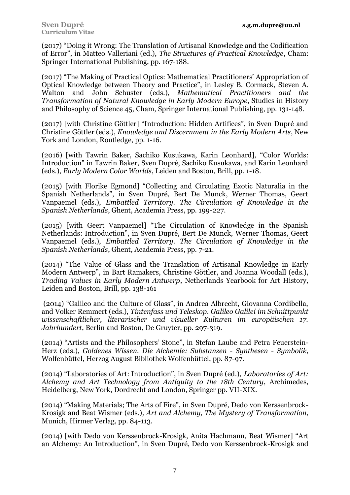(2017) "Doing it Wrong: The Translation of Artisanal Knowledge and the Codification of Error", in Matteo Valleriani (ed.), *The Structures of Practical Knowledge*, Cham: Springer International Publishing, pp. 167-188.

(2017) "The Making of Practical Optics: Mathematical Practitioners' Appropriation of Optical Knowledge between Theory and Practice", in Lesley B. Cormack, Steven A. Walton and John Schuster (eds.), *Mathematical Practitioners and the Transformation of Natural Knowledge in Early Modern Europe*, Studies in History and Philosophy of Science 45, Cham, Springer International Publishing, pp. 131-148.

(2017) [with Christine Göttler] "Introduction: Hidden Artifices", in Sven Dupré and Christine Göttler (eds.), *Knowledge and Discernment in the Early Modern Arts*, New York and London, Routledge, pp. 1-16.

(2016) [with Tawrin Baker, Sachiko Kusukawa, Karin Leonhard], "Color Worlds: Introduction" in Tawrin Baker, Sven Dupré, Sachiko Kusukawa, and Karin Leonhard (eds.), *Early Modern Color Worlds*, Leiden and Boston, Brill, pp. 1-18.

(2015) [with Florike Egmond] "Collecting and Circulating Exotic Naturalia in the Spanish Netherlands", in Sven Dupré, Bert De Munck, Werner Thomas, Geert Vanpaemel (eds.), *Embattled Territory. The Circulation of Knowledge in the Spanish Netherlands*, Ghent, Academia Press, pp. 199-227.

(2015) [with Geert Vanpaemel] "The Circulation of Knowledge in the Spanish Netherlands: Introduction", in Sven Dupré, Bert De Munck, Werner Thomas, Geert Vanpaemel (eds.), *Embattled Territory. The Circulation of Knowledge in the Spanish Netherlands*, Ghent, Academia Press, pp. 7-21.

(2014) "The Value of Glass and the Translation of Artisanal Knowledge in Early Modern Antwerp", in Bart Ramakers, Christine Göttler, and Joanna Woodall (eds.), *Trading Values in Early Modern Antwerp*, Netherlands Yearbook for Art History, Leiden and Boston, Brill, pp. 138-161

(2014) "Galileo and the Culture of Glass", in Andrea Albrecht, Giovanna Cordibella, and Volker Remmert (eds.), *Tintenfass und Teleskop. Galileo Galilei im Schnittpunkt wissenschaftlicher, literarischer und visueller Kulturen im europäischen 17. Jahrhundert*, Berlin and Boston, De Gruyter, pp. 297-319.

(2014) "Artists and the Philosophers' Stone", in Stefan Laube and Petra Feuerstein-Herz (eds.), *Goldenes Wissen. Die Alchemie: Substanzen - Synthesen - Symbolik*, Wolfenbüttel, Herzog August Bibliothek Wolfenbüttel, pp. 87-97.

(2014) "Laboratories of Art: Introduction", in Sven Dupré (ed.), *Laboratories of Art: Alchemy and Art Technology from Antiquity to the 18th Century*, Archimedes, Heidelberg, New York, Dordrecht and London, Springer pp. VII-XIX.

(2014) "Making Materials; The Arts of Fire", in Sven Dupré, Dedo von Kerssenbrock-Krosigk and Beat Wismer (eds.)*, Art and Alchemy, The Mystery of Transformation*, Munich, Hirmer Verlag, pp. 84-113.

(2014) [with Dedo von Kerssenbrock-Krosigk, Anita Hachmann, Beat Wismer] "Art an Alchemy: An Introduction", in Sven Dupré, Dedo von Kerssenbrock-Krosigk and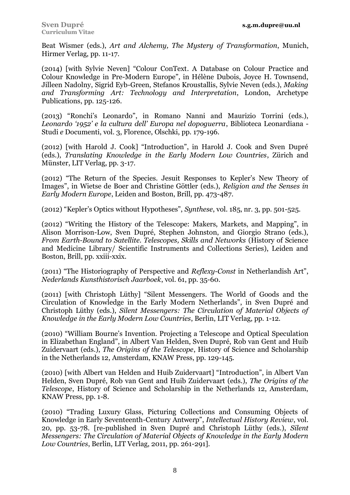Beat Wismer (eds.), *Art and Alchemy, The Mystery of Transformation*, Munich, Hirmer Verlag, pp. 11-17.

(2014) [with Sylvie Neven] "Colour ConText. A Database on Colour Practice and Colour Knowledge in Pre-Modern Europe", in Hélène Dubois, Joyce H. Townsend, Jilleen Nadolny, Sigrid Eyb-Green, Stefanos Kroustallis, Sylvie Neven (eds.), *Making and Transforming Art: Technology and Interpretation*, London, Archetype Publications, pp. 125-126.

(2013) "Ronchi's Leonardo", in Romano Nanni and Maurizio Torrini (eds.), *Leonardo '1952' e la cultura dell' Europa nel dopoguerra*, Biblioteca Leonardiana - Studi *e* Documenti, vol. 3, Florence, Olschki, pp. 179-196.

(2012) [with Harold J. Cook] "Introduction", in Harold J. Cook and Sven Dupré (eds.), *Translating Knowledge in the Early Modern Low Countries*, Zürich and Münster, LIT Verlag, pp. 3-17.

(2012) "The Return of the Species. Jesuit Responses to Kepler's New Theory of Images", in Wietse de Boer and Christine Göttler (eds.), *Religion and the Senses in Early Modern Europe*, Leiden and Boston, Brill, pp. 473-487.

(2012) "Kepler's Optics without Hypotheses", *Synthese*, vol. 185, nr. 3, pp. 501-525.

(2012) "Writing the History of the Telescope: Makers, Markets, and Mapping", in Alison Morrison-Low, Sven Dupré, Stephen Johnston, and Giorgio Strano (eds.), *From Earth-Bound to Satellite. Telescopes, Skills and Networks* (History of Science and Medicine Library/ Scientific Instruments and Collections Series), Leiden and Boston, Brill, pp. xxiii-xxix.

(2011) "The Historiography of Perspective and *Reflexy-Const* in Netherlandish Art", *Nederlands Kunsthistorisch Jaarboek*, vol. 61, pp. 35-60.

(2011) [with Christoph Lüthy] "Silent Messengers. The World of Goods and the Circulation of Knowledge in the Early Modern Netherlands", in Sven Dupré and Christoph Lüthy (eds.), *Silent Messengers: The Circulation of Material Objects of Knowledge in the Early Modern Low Countries*, Berlin, LIT Verlag, pp. 1-12.

(2010) "William Bourne's Invention. Projecting a Telescope and Optical Speculation in Elizabethan England", in Albert Van Helden, Sven Dupré, Rob van Gent and Huib Zuidervaart (eds.), *The Origins of the Telescope*, History of Science and Scholarship in the Netherlands 12, Amsterdam, KNAW Press, pp. 129-145.

(2010) [with Albert van Helden and Huib Zuidervaart] "Introduction", in Albert Van Helden, Sven Dupré, Rob van Gent and Huib Zuidervaart (eds.), *The Origins of the Telescope*, History of Science and Scholarship in the Netherlands 12, Amsterdam, KNAW Press, pp. 1-8.

(2010) "Trading Luxury Glass, Picturing Collections and Consuming Objects of Knowledge in Early Seventeenth-Century Antwerp", *Intellectual History Review*, vol. 20, pp. 53-78. [re-published in Sven Dupré and Christoph Lüthy (eds.), *Silent Messengers: The Circulation of Material Objects of Knowledge in the Early Modern Low Countries*, Berlin, LIT Verlag, 2011, pp. 261-291].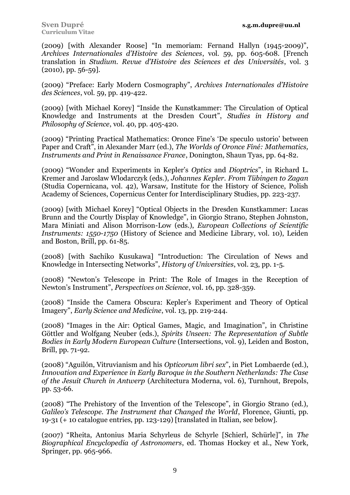(2009) [with Alexander Roose] "In memoriam: Fernand Hallyn (1945-2009)", *Archives Internationales d'Histoire des Sciences*, vol. 59, pp. 605-608. [French translation in *Studium. Revue d'Histoire des Sciences et des Universités*, vol. 3  $(2010)$ , pp. 56-59].

(2009) "Preface: Early Modern Cosmography", *Archives Internationales d'Histoire des Sciences*, vol. 59, pp. 419-422.

(2009) [with Michael Korey] "Inside the Kunstkammer: The Circulation of Optical Knowledge and Instruments at the Dresden Court", *Studies in History and Philosophy of Science*, vol. 40, pp. 405-420.

(2009) "Printing Practical Mathematics: Oronce Fine's 'De speculo ustorio' between Paper and Craft", in Alexander Marr (ed.), *The Worlds of Oronce Finé: Mathematics, Instruments and Print in Renaissance France*, Donington, Shaun Tyas, pp. 64-82.

(2009) "Wonder and Experiments in Kepler's *Optics* and *Dioptrics*", in Richard L. Kremer and Jaroslaw Wlodarczyk (eds.), *Johannes Kepler. From Tübingen to Zagan* (Studia Copernicana, vol. 42), Warsaw, Institute for the History of Science, Polish Academy of Sciences, Copernicus Center for Interdisciplinary Studies, pp. 223-237.

(2009) [with Michael Korey] "Optical Objects in the Dresden Kunstkammer: Lucas Brunn and the Courtly Display of Knowledge", in Giorgio Strano, Stephen Johnston, Mara Miniati and Alison Morrison-Low (eds.), *European Collections of Scientific Instruments: 1550-1750* (History of Science and Medicine Library, vol. 10), Leiden and Boston, Brill, pp. 61-85.

(2008) [with Sachiko Kusukawa] "Introduction: The Circulation of News and Knowledge in Intersecting Networks", *History of Universities*, vol. 23, pp. 1-5.

(2008) "Newton's Telescope in Print: The Role of Images in the Reception of Newton's Instrument", *Perspectives on Science*, vol. 16, pp. 328-359.

(2008) "Inside the Camera Obscura: Kepler's Experiment and Theory of Optical Imagery", *Early Science and Medicine*, vol. 13, pp. 219-244.

(2008) "Images in the Air: Optical Games, Magic, and Imagination", in Christine Göttler and Wolfgang Neuber (eds.), *Spirits Unseen: The Representation of Subtle Bodies in Early Modern European Culture* (Intersections, vol. 9), Leiden and Boston, Brill, pp. 71-92.

(2008) "Aguilón, Vitruvianism and his *Opticorum libri sex*", in Piet Lombaerde (ed.), *Innovation and Experience in Early Baroque in the Southern Netherlands: The Case of the Jesuit Church in Antwerp* (Architectura Moderna, vol. 6), Turnhout, Brepols, pp. 53-66.

(2008) "The Prehistory of the Invention of the Telescope", in Giorgio Strano (ed.), *Galileo's Telescope. The Instrument that Changed the World*, Florence, Giunti, pp. 19-31 (+ 10 catalogue entries, pp. 123-129) [translated in Italian, see below].

(2007) "Rheita, Antonius Maria Schyrleus de Schyrle [Schierl, Schürle]", in *The Biographical Encyclopedia of Astronomers*, ed. Thomas Hockey et al., New York, Springer, pp. 965-966.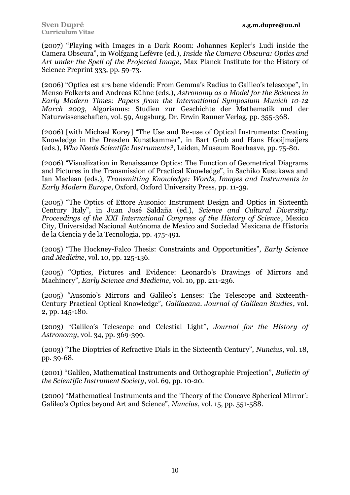(2007) "Playing with Images in a Dark Room: Johannes Kepler's Ludi inside the Camera Obscura", in Wolfgang Lefèvre (ed.), *Inside the Camera Obscura: Optics and Art under the Spell of the Projected Image*, Max Planck Institute for the History of Science Preprint 333, pp. 59-73.

(2006) "Optica est ars bene videndi: From Gemma's Radius to Galileo's telescope", in Menso Folkerts and Andreas Kühne (eds.), *Astronomy as a Model for the Sciences in Early Modern Times: Papers from the International Symposium Munich 10-12 March 2003*, Algorismus: Studien zur Geschichte der Mathematik und der Naturwissenschaften, vol. 59, Augsburg, Dr. Erwin Rauner Verlag, pp. 355-368.

(2006) [with Michael Korey] "The Use and Re-use of Optical Instruments: Creating Knowledge in the Dresden Kunstkammer", in Bart Grob and Hans Hooijmaijers (eds.), *Who Needs Scientific Instruments?*, Leiden, Museum Boerhaave, pp. 75-80.

(2006) "Visualization in Renaissance Optics: The Function of Geometrical Diagrams and Pictures in the Transmission of Practical Knowledge", in Sachiko Kusukawa and Ian Maclean (eds.), *Transmitting Knowledge: Words, Images and Instruments in Early Modern Europe*, Oxford, Oxford University Press, pp. 11-39.

(2005) "The Optics of Ettore Ausonio: Instrument Design and Optics in Sixteenth Century Italy", in Juan José Saldaña (ed.), *Science and Cultural Diversity: Proceedings of the XXI International Congress of the History of Science*, Mexico City, Universidad Nacional Autónoma de Mexico and Sociedad Mexicana de Historia de la Ciencia y de la Tecnologia, pp. 475-491.

(2005) "The Hockney-Falco Thesis: Constraints and Opportunities", *Early Science and Medicine*, vol. 10, pp. 125-136.

(2005) "Optics, Pictures and Evidence: Leonardo's Drawings of Mirrors and Machinery", *Early Science and Medicine*, vol. 10, pp. 211-236.

(2005) "Ausonio's Mirrors and Galileo's Lenses: The Telescope and Sixteenth-Century Practical Optical Knowledge", *Galilaeana. Journal of Galilean Studies*, vol. 2, pp. 145-180.

(2003) "Galileo's Telescope and Celestial Light", *Journal for the History of Astronomy*, vol. 34, pp. 369-399.

(2003) "The Dioptrics of Refractive Dials in the Sixteenth Century", *Nuncius*, vol. 18, pp. 39-68.

(2001) "Galileo, Mathematical Instruments and Orthographic Projection", *Bulletin of the Scientific Instrument Society*, vol. 69, pp. 10-20.

(2000) "Mathematical Instruments and the 'Theory of the Concave Spherical Mirror': Galileo's Optics beyond Art and Science", *Nuncius*, vol. 15, pp. 551-588.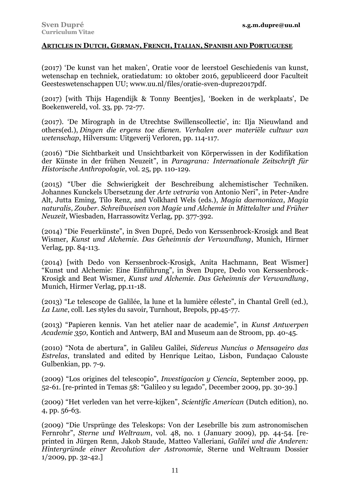## **ARTICLES IN DUTCH, GERMAN, FRENCH, ITALIAN, SPANISH AND PORTUGUESE**

(2017) 'De kunst van het maken', Oratie voor de leerstoel Geschiedenis van kunst, wetenschap en techniek, oratiedatum: 10 oktober 2016, gepubliceerd door Faculteit Geesteswetenschappen UU; www.uu.nl/files/oratie-sven-dupre2017pdf.

(2017) [with Thijs Hagendijk & Tonny Beentjes], 'Boeken in de werkplaats', De Boekenwereld, vol. 33, pp. 72-77.

(2017). 'De Mirograph in de Utrechtse Swillenscollectie', in: Ilja Nieuwland and others(ed.), *Dingen die ergens toe dienen. Verhalen over materiële cultuur van wetenschap*, Hilversum: Uitgeverij Verloren, pp. 114-117.

(2016) "Die Sichtbarkeit und Unsichtbarkeit von Körperwissen in der Kodifikation der Künste in der frühen Neuzeit", in *Paragrana: Internationale Zeitschrift für Historische Anthropologie*, vol. 25, pp. 110-129.

(2015) "Uber die Schwierigkeit der Beschreibung alchemistischer Techniken. Johannes Kunckels Ubersetzung der *Arte vetraria* von Antonio Neri", in Peter-Andre Alt, Jutta Eming, Tilo Renz, and Volkhard Wels (eds.), *Magia daemoniaca*, *Magia naturalis*, *Zouber*. *Schreibweisen von Magie und Alchemie in Mittelalter und Früher Neuzeit*, Wiesbaden, Harrassowitz Verlag, pp. 377-392*.*

(2014) "Die Feuerkünste", in Sven Dupré, Dedo von Kerssenbrock-Krosigk and Beat Wismer, *Kunst und Alchemie. Das Geheimnis der Verwandlung*, Munich, Hirmer Verlag, pp. 84-113.

(2014) [with Dedo von Kerssenbrock-Krosigk, Anita Hachmann, Beat Wismer] "Kunst und Alchemie: Eine Einführung", in Sven Dupre, Dedo von Kerssenbrock-Krosigk and Beat Wismer, *Kunst und Alchemie. Das Geheimnis der Verwandlung*, Munich, Hirmer Verlag, pp.11-18.

(2013) "Le telescope de Galilée, la lune et la lumière céleste", in Chantal Grell (ed.), *La Lune*, coll. Les styles du savoir, Turnhout, Brepols, pp.45-77.

(2013) "Papieren kennis. Van het atelier naar de academie", in *Kunst Antwerpen Academie 350*, Kontich and Antwerp, BAI and Museum aan de Stroom, pp. 40-45.

(2010) "Nota de abertura", in Galileu Galilei, *Sidereus Nuncius o Mensageiro das Estrelas*, translated and edited by Henrique Leitao, Lisbon, Fundaçao Calouste Gulbenkian, pp. 7-9.

(2009) "Los origines del telescopio", *Investigacion y Ciencia*, September 2009, pp. 52-61. [re-printed in Temas 58: "Galileo y su legado", December 2009, pp. 30-39.]

(2009) "Het verleden van het verre-kijken", *Scientific American* (Dutch edition), no. 4, pp. 56-63.

(2009) "Die Ursprünge des Teleskops: Von der Lesebrille bis zum astronomischen Fernrohr", *Sterne und Weltraum*, vol. 48, no. 1 (January 2009), pp. 44-54. [reprinted in Jürgen Renn, Jakob Staude, Matteo Valleriani, *Galilei und die Anderen: Hintergründe einer Revolution der Astronomie*, Sterne und Weltraum Dossier 1/2009, pp. 32-42.]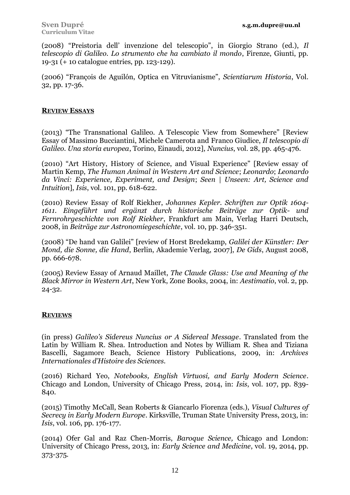(2008) "Preistoria dell' invenzione del telescopio", in Giorgio Strano (ed.), *Il telescopio di Galileo. Lo strumento che ha cambiato il mondo*, Firenze, Giunti, pp. 19-31 (+ 10 catalogue entries, pp. 123-129).

(2006) "François de Aguilón, Optica en Vitruvianisme", *Scientiarum Historia*, Vol. 32, pp. 17-36.

## **REVIEW ESSAYS**

(2013) "The Transnational Galileo. A Telescopic View from Somewhere" [Review Essay of Massimo Bucciantini, Michele Camerota and Franco Giudice, *Il telescopio di Galileo. Una storia europea*, Torino, Einaudi, 2012], *Nuncius*, vol. 28, pp. 465-476.

(2010) "Art History, History of Science, and Visual Experience" [Review essay of Martin Kemp, *The Human Animal in Western Art and Science*; *Leonardo*; *Leonardo da Vinci: Experience, Experiment, and Design*; *Seen | Unseen: Art, Science and Intuition*], *Isis*, vol. 101, pp. 618-622.

(2010) Review Essay of Rolf Riekher, *Johannes Kepler. Schriften zur Optik 1604- 1611. Eingeführt und ergänzt durch historische Beiträge zur Optik- und Fernrohrgeschichte von Rolf Riekher*, Frankfurt am Main, Verlag Harri Deutsch, 2008, in *Beiträge zur Astronomiegeschichte*, vol. 10, pp. 346-351.

(2008) "De hand van Galilei" [review of Horst Bredekamp, *Galilei der Künstler: Der Mond, die Sonne, die Hand*, Berlin, Akademie Verlag, 2007], *De Gids*, August 2008, pp. 666-678.

(2005) Review Essay of Arnaud Maillet, *The Claude Glass: Use and Meaning of the Black Mirror in Western Art*, New York, Zone Books, 2004, in: *Aestimatio*, vol. 2, pp. 24-32.

# **REVIEWS**

(in press) *Galileo's Sidereus Nuncius or A Sidereal Message*. Translated from the Latin by William R. Shea. Introduction and Notes by William R. Shea and Tiziana Bascelli, Sagamore Beach, Science History Publications, 2009, in: *Archives Internationales d'Histoire des Sciences.*

(2016) Richard Yeo, *Notebooks, English Virtuosi, and Early Modern Science*. Chicago and London, University of Chicago Press, 2014, in: *Isis*, vol. 107, pp. 839- 840.

(2015) Timothy McCall, Sean Roberts & Giancarlo Fiorenza (eds.), *Visual Cultures of Secrecy in Early Modern Europe*. Kirksville, Truman State University Press, 2013, in: *Isis*, vol. 106, pp. 176-177.

(2014) Ofer Gal and Raz Chen-Morris, *Baroque Science,* Chicago and London: University of Chicago Press, 2013, in: *Early Science and Medicine*, vol. 19, 2014, pp. 373-375.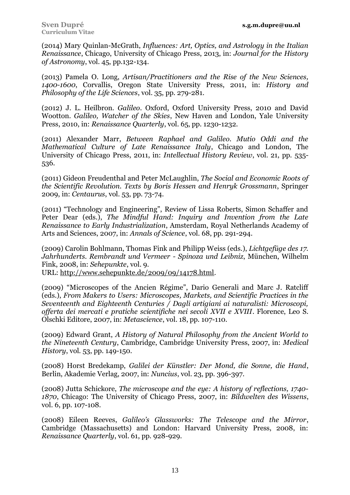(2014) Mary Quinlan-McGrath, *Influences: Art, Optics, and Astrology in the Italian Renaissance*, Chicago, University of Chicago Press, 2013, in: *Journal for the History of Astronomy*, vol. 45, pp.132-134.

(2013) Pamela O. Long, *Artisan/Practitioners and the Rise of the New Sciences, 1400-1600*, Corvallis, Oregon State University Press, 2011, in: *History and Philosophy of the Life Sciences*, vol. 35, pp. 279-281.

(2012) J. L. Heilbron. *Galileo*. Oxford, Oxford University Press, 2010 and David Wootton. *Galileo, Watcher of the Skies*, New Haven and London, Yale University Press, 2010, in: *Renaissance Quarterly*, vol. 65, pp. 1230-1232.

(2011) Alexander Marr, *Between Raphael and Galileo. Mutio Oddi and the Mathematical Culture of Late Renaissance Italy*, Chicago and London, The University of Chicago Press, 2011, in: *Intellectual History Review*, vol. 21, pp. 535- 536.

(2011) Gideon Freudenthal and Peter McLaughlin, *The Social and Economic Roots of the Scientific Revolution. Texts by Boris Hessen and Henryk Grossmann*, Springer 2009, in: *Centaurus*, vol. 53, pp. 73-74.

(2011) "Technology and Engineering", Review of Lissa Roberts, Simon Schaffer and Peter Dear (eds.), *The Mindful Hand: Inquiry and Invention from the Late Renaissance to Early Industrialization*, Amsterdam, Royal Netherlands Academy of Arts and Sciences, 2007, in: *Annals of Science*, vol. 68, pp. 291-294.

(2009) Carolin Bohlmann, Thomas Fink and Philipp Weiss (eds.), *Lichtgefüge des 17. Jahrhunderts. Rembrandt und Vermeer - Spinoza und Leibniz*, München, Wilhelm Fink, 2008, in: *Sehepunkte*, vol. 9.

URL: [http://www.sehepunkte.de/2009/09/14178.html.](http://www.sehepunkte.de/2009/09/14178.html)

(2009) "Microscopes of the Ancien Régime", Dario Generali and Marc J. Ratcliff (eds.), *From Makers to Users: Microscopes, Markets, and Scientific Practices in the Seventeenth and Eighteenth Centuries / Dagli artigiani ai naturalisti: Microscopi, offerta dei mercati e pratiche scientifiche nei secoli XVII e XVIII*. Florence, Leo S. Olschki Editore, 2007, in: *Metascience*, vol. 18, pp. 107-110.

(2009) Edward Grant, *A History of Natural Philosophy from the Ancient World to the Nineteenth Century*, Cambridge, Cambridge University Press, 2007, in: *Medical History*, vol. 53, pp. 149-150.

(2008) Horst Bredekamp, *Galilei der Künstler: Der Mond, die Sonne, die Hand*, Berlin, Akademie Verlag, 2007, in: *Nuncius*, vol. 23, pp. 396-397.

(2008) Jutta Schickore, *The microscope and the eye: A history of reflections, 1740- 1870*, Chicago: The University of Chicago Press, 2007, in: *Bildwelten des Wissens*, vol. 6, pp. 107-108.

(2008) Eileen Reeves, *Galileo's Glassworks: The Telescope and the Mirror*, Cambridge (Massachusetts) and London: Harvard University Press, 2008, in: *Renaissance Quarterly*, vol. 61, pp. 928-929.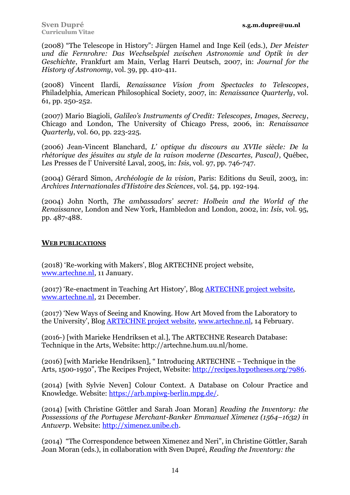(2008) "The Telescope in History": Jürgen Hamel and Inge Keil (eds.), *Der Meister und die Fernrohre: Das Wechselspiel zwischen Astronomie und Optik in der Geschichte*, Frankfurt am Main, Verlag Harri Deutsch, 2007, in: *Journal for the History of Astronomy*, vol. 39, pp. 410-411.

(2008) Vincent Ilardi, *Renaissance Vision from Spectacles to Telescopes*, Philadelphia, American Philosophical Society, 2007, in: *Renaissance Quarterly*, vol. 61, pp. 250-252.

(2007) Mario Biagioli, *Galileo's Instruments of Credit: Telescopes, Images, Secrecy*, Chicago and London, The University of Chicago Press, 2006, in: *Renaissance Quarterly*, vol. 60, pp. 223-225.

(2006) Jean-Vincent Blanchard, *L' optique du discours au XVIIe siècle: De la rhétorique des jésuites au style de la raison moderne (Descartes, Pascal)*, Québec, Les Presses de l' Université Laval, 2005, in: *Isis*, vol. 97, pp. 746-747.

(2004) Gérard Simon, *Archéologie de la vision*, Paris: Editions du Seuil, 2003, in: *Archives Internationales d'Histoire des Sciences*, vol. 54, pp. 192-194.

(2004) John North, *The ambassadors' secret: Holbein and the World of the Renaissance*, London and New York, Hambledon and London, 2002, in: *Isis*, vol. 95, pp. 487-488.

### **WEB PUBLICATIONS**

(2018) 'Re-working with Makers', Blog ARTECHNE project website, [www.artechne.nl,](http://www.artechne.nl/) 11 January.

(2017) 'Re-enactment in Teaching Art History', Blog ARTECHNE [project website,](http://artechne.wp.hum.uu.nl/new-ways-of-seeing-and-knowing-how-art-moved-from-the-laboratory-to-the-university-lecture-hall/) [www.artechne.nl,](http://www.artechne.nl/) 21 December.

(2017) 'New Ways of Seeing and Knowing. How Art Moved from the Laboratory to the University', Blog ARTECHNE [project website,](http://artechne.wp.hum.uu.nl/new-ways-of-seeing-and-knowing-how-art-moved-from-the-laboratory-to-the-university-lecture-hall/) [www.artechne.nl,](http://www.artechne.nl/) 14 February.

(2016-) [with Marieke Hendriksen et al.], The ARTECHNE Research Database: Technique in the Arts, Website: http://artechne.hum.uu.nl/home.

(2016) [with Marieke Hendriksen], " Introducing ARTECHNE – Technique in the Arts, 1500-1950", The Recipes Project, Website: [http://recipes.hypotheses.org/7986.](http://recipes.hypotheses.org/7986)

(2014) [with Sylvie Neven] Colour Context. A Database on Colour Practice and Knowledge. Website: https://arb.mpiwg-berlin.mpg.de/.

(2014) [with Christine Göttler and Sarah Joan Moran] *Reading the Inventory: the Possessions of the Portugese Merchant-Banker Emmanuel Ximenez (1564–1632) in Antwerp*. Website: [http://ximenez.unibe.ch.](http://ximenez.unibe.ch/)

(2014) "The Correspondence between Ximenez and Neri", in Christine Göttler, Sarah Joan Moran (eds.), in collaboration with Sven Dupré, *Reading the Inventory: the*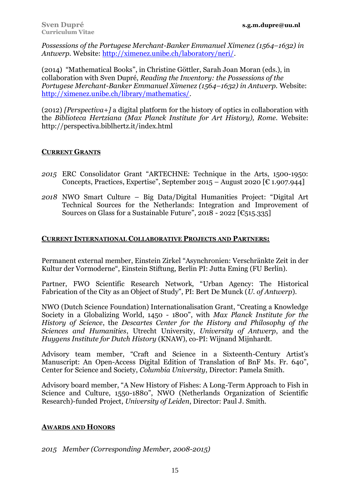*Possessions of the Portugese Merchant-Banker Emmanuel Ximenez (1564–1632) in Antwerp.* Website: [http://ximenez.unibe.ch/laboratory/neri/.](http://ximenez.unibe.ch/laboratory/neri/)

(2014) "Mathematical Books", in Christine Göttler, Sarah Joan Moran (eds.), in collaboration with Sven Dupré, *Reading the Inventory: the Possessions of the Portugese Merchant-Banker Emmanuel Ximenez (1564–1632) in Antwerp.* Website: [http://ximenez.unibe.ch/library/mathematics/.](http://ximenez.unibe.ch/library/mathematics/)

(2012) *[Perspectiva+]* a digital platform for the history of optics in collaboration with the *Biblioteca Hertziana (Max Planck Institute for Art History), Rome.* Website: http://perspectiva.biblhertz.it/index.html

## **CURRENT GRANTS**

- *2015* ERC Consolidator Grant "ARTECHNE: Technique in the Arts, 1500-1950: Concepts, Practices, Expertise", September 2015 – August 2020  $\lceil \epsilon \cdot 1.907.944 \rceil$
- *2018* NWO Smart Culture Big Data/Digital Humanities Project: "Digital Art Technical Sources for the Netherlands: Integration and Improvement of Sources on Glass for a Sustainable Future", 2018 - 2022 [ $\epsilon$ 515.335]

# **CURRENT INTERNATIONAL COLLABORATIVE PROJECTS AND PARTNERS:**

Permanent external member, Einstein Zirkel "Asynchronien: Verschränkte Zeit in der Kultur der Vormoderne", Einstein Stiftung, Berlin PI: Jutta Eming (FU Berlin).

Partner, FWO Scientific Research Network, "Urban Agency: The Historical Fabrication of the City as an Object of Study", PI: Bert De Munck (*U. of Antwerp*).

NWO (Dutch Science Foundation) Internationalisation Grant, "Creating a Knowledge Society in a Globalizing World, 1450 - 1800", with *Max Planck Institute for the History of Science*, the *Descartes Center for the History and Philosophy of the Sciences and Humanities*, Utrecht University, *University of Antwerp*, and the *Huygens Institute for Dutch History* (KNAW), co-PI: Wijnand Mijnhardt.

Advisory team member, "Craft and Science in a Sixteenth-Century Artist's Manuscript: An Open-Access Digital Edition of Translation of BnF Ms. Fr. 640", Center for Science and Society, *Columbia University*, Director: Pamela Smith.

Advisory board member, "A New History of Fishes: A Long-Term Approach to Fish in Science and Culture, 1550-1880", NWO (Netherlands Organization of Scientific Research)-funded Project, *University of Leiden*, Director: Paul J. Smith.

# **AWARDS AND HONORS**

*2015 Member (Corresponding Member, 2008-2015)*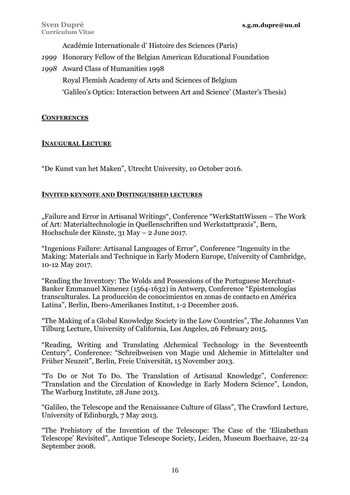Académie Internationale d' Histoire des Sciences (Paris)

- *1999* Honorary Fellow of the Belgian American Educational Foundation
- *1998* Award Class of Humanities 1998 Royal Flemish Academy of Arts and Sciences of Belgium 'Galileo's Optics: Interaction between Art and Science' (Master's Thesis)

## **CONFERENCES**

## **INAUGURAL LECTURE**

"De Kunst van het Maken", Utrecht University, 10 October 2016.

## **INVITED KEYNOTE AND DISTINGUISHED LECTURES**

"Failure and Error in Artisanal Writings", Conference "WerkStattWissen – The Work of Art: Materialtechnologie in Quellenschriften und Werkstattpraxis", Bern, Hochschule der Künste, 31 May – 2 June 2017.

"Ingenious Failure: Artisanal Languages of Error", Conference "Ingenuity in the Making: Materials and Technique in Early Modern Europe, University of Cambridge, 10-12 May 2017.

"Reading the Inventory: The Wolds and Possessions of the Portuguese Merchnat-Banker Emmanuel Ximenez (1564-1632) in Antwerp, Conference "Epistemologías transculturales. La producción de conocimientos en zonas de contacto en América Latina", Berlin, Ibero-Amerikanes Institut, 1-2 December 2016.

"The Making of a Global Knowledge Society in the Low Countries", The Johannes Van Tilburg Lecture, University of California, Los Angeles, 26 February 2015.

"Reading, Writing and Translating Alchemical Technology in the Seventeenth Century", Conference: "Schreibweisen von Magie und Alchemie in Mittelalter und Früher Neuzeit", Berlin, Freie Universität, 15 November 2013.

"To Do or Not To Do. The Translation of Artisanal Knowledge", Conference: "Translation and the Circulation of Knowledge in Early Modern Science", London, The Warburg Institute, 28 June 2013.

"Galileo, the Telescope and the Renaissance Culture of Glass", The Crawford Lecture, University of Edinburgh, 7 May 2013.

"The Prehistory of the Invention of the Telescope: The Case of the 'Elizabethan Telescope' Revisited", Antique Telescope Society, Leiden, Museum Boerhaave, 22-24 September 2008.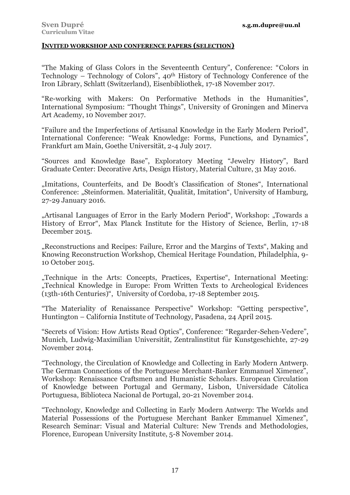#### **INVITED WORKSHOP AND CONFERENCE PAPERS (SELECTION)**

"The Making of Glass Colors in the Seventeenth Century", Conference: "Colors in Technology – Technology of Colors", 40th History of Technology Conference of the Iron Library, Schlatt (Switzerland), Eisenbibliothek, 17-18 November 2017.

"Re-working with Makers: On Performative Methods in the Humanities", International Symposium: "Thought Things", University of Groningen and Minerva Art Academy, 10 November 2017.

"Failure and the Imperfections of Artisanal Knowledge in the Early Modern Period", International Conference: "Weak Knowledge: Forms, Functions, and Dynamics", Frankfurt am Main, Goethe Universität, 2-4 July 2017.

"Sources and Knowledge Base", Exploratory Meeting "Jewelry History", Bard Graduate Center: Decorative Arts, Design History, Material Culture, 31 May 2016.

"Imitations, Counterfeits, and De Boodt's Classification of Stones", International Conference: "Steinformen. Materialität, Qualität, Imitation", University of Hamburg, 27-29 January 2016.

"Artisanal Languages of Error in the Early Modern Period", Workshop: "Towards a History of Error", Max Planck Institute for the History of Science, Berlin, 17-18 December 2015.

"Reconstructions and Recipes: Failure, Error and the Margins of Texts", Making and Knowing Reconstruction Workshop, Chemical Heritage Foundation, Philadelphia, 9- 10 October 2015.

"Technique in the Arts: Concepts, Practices, Expertise", International Meeting: "Technical Knowledge in Europe: From Written Texts to Archeological Evidences (13th-16th Centuries)", University of Cordoba, 17-18 September 2015.

"The Materiality of Renaissance Perspective" Workshop: "Getting perspective", Huntington – California Institute of Technology, Pasadena, 24 April 2015.

"Secrets of Vision: How Artists Read Optics", Conference: "Regarder-Sehen-Vedere", Munich, Ludwig-Maximilian Universität, Zentralinstitut für Kunstgeschichte, 27-29 November 2014.

"Technology, the Circulation of Knowledge and Collecting in Early Modern Antwerp. The German Connections of the Portuguese Merchant-Banker Emmanuel Ximenez", Workshop: Renaissance Craftsmen and Humanistic Scholars. European Circulation of Knowledge between Portugal and Germany, Lisbon, Universidade Cátolica Portuguesa, Biblioteca Nacional de Portugal, 20-21 November 2014.

"Technology, Knowledge and Collecting in Early Modern Antwerp: The Worlds and Material Possessions of the Portuguese Merchant Banker Emmanuel Ximenez", Research Seminar: Visual and Material Culture: New Trends and Methodologies, Florence, European University Institute, 5-8 November 2014.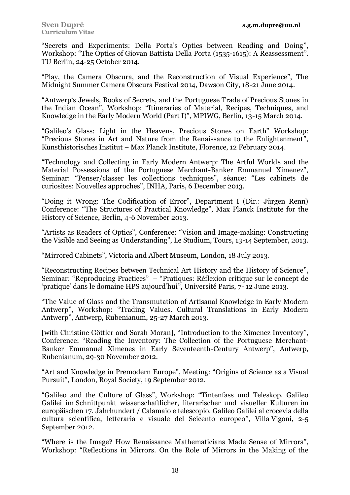"Secrets and Experiments: Della Porta's Optics between Reading and Doing", Workshop: "The Optics of Giovan Battista Della Porta (1535-1615): A Reassessment". TU Berlin, 24-25 October 2014.

"Play, the Camera Obscura, and the Reconstruction of Visual Experience", The Midnight Summer Camera Obscura Festival 2014, Dawson City, 18-21 June 2014.

"Antwerp's Jewels, Books of Secrets, and the Portuguese Trade of Precious Stones in the Indian Ocean", Workshop: "Itineraries of Material, Recipes, Techniques, and Knowledge in the Early Modern World (Part I)", MPIWG, Berlin, 13-15 March 2014.

"Galileo's Glass: Light in the Heavens, Precious Stones on Earth" Workshop: "Precious Stones in Art and Nature from the Renaissance to the Enlightenment", Kunsthistorisches Institut – Max Planck Institute, Florence, 12 February 2014.

"Technology and Collecting in Early Modern Antwerp: The Artful Worlds and the Material Possessions of the Portuguese Merchant-Banker Emmanuel Ximenez", Seminar: "Penser/classer les collections techniques", séance: "Les cabinets de curiosites: Nouvelles approches", INHA, Paris, 6 December 2013.

"Doing it Wrong: The Codification of Error", Department I (Dir.: Jürgen Renn) Conference: "The Structures of Practical Knowledge", Max Planck Institute for the History of Science, Berlin, 4-6 November 2013.

"Artists as Readers of Optics", Conference: "Vision and Image-making: Constructing the Visible and Seeing as Understanding", Le Studium, Tours, 13-14 September, 2013.

"Mirrored Cabinets", Victoria and Albert Museum, London, 18 July 2013.

"Reconstructing Recipes between Technical Art History and the History of Science", Seminar: "Reproducing Practices" – "Pratiques: Réflexion critique sur le concept de 'pratique' dans le domaine HPS aujourd'hui", Université Paris, 7- 12 June 2013.

"The Value of Glass and the Transmutation of Artisanal Knowledge in Early Modern Antwerp", Workshop: "Trading Values. Cultural Translations in Early Modern Antwerp", Antwerp, Rubenianum, 25-27 March 2013.

[with Christine Göttler and Sarah Moran], "Introduction to the Ximenez Inventory", Conference: "Reading the Inventory: The Collection of the Portuguese Merchant-Banker Emmanuel Ximenes in Early Seventeenth-Century Antwerp", Antwerp, Rubenianum, 29-30 November 2012.

"Art and Knowledge in Premodern Europe", Meeting: "Origins of Science as a Visual Pursuit", London, Royal Society, 19 September 2012.

"Galileo and the Culture of Glass", Workshop: "Tintenfass und Teleskop. Galileo Galilei im Schnittpunkt wissenschaftlicher, literarischer und visueller Kulturen im europäischen 17. Jahrhundert / Calamaio e telescopio. Galileo Galilei al crocevia della cultura scientifica, letteraria e visuale del Seicento europeo", Villa Vigoni, 2-5 September 2012.

"Where is the Image? How Renaissance Mathematicians Made Sense of Mirrors", Workshop: "Reflections in Mirrors. On the Role of Mirrors in the Making of the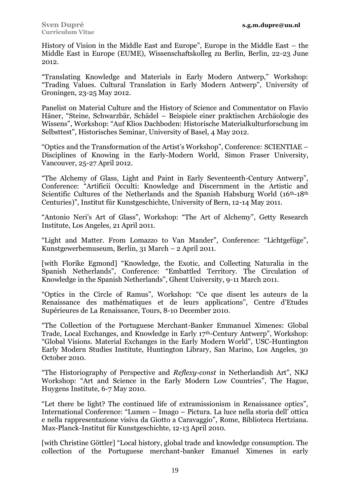History of Vision in the Middle East and Europe", Europe in the Middle East – the Middle East in Europe (EUME), Wissenschaftskolleg zu Berlin, Berlin, 22-23 June 2012.

"Translating Knowledge and Materials in Early Modern Antwerp," Workshop: "Trading Values. Cultural Translation in Early Modern Antwerp", University of Groningen, 23-25 May 2012.

Panelist on Material Culture and the History of Science and Commentator on Flavio Häner, "Steine, Schwarzbär, Schädel – Beispiele einer praktischen Archäologie des Wissens", Workshop: "Auf Klios Dachboden: Historische Materialkulturforschung im Selbsttest", Historisches Seminar, University of Basel, 4 May 2012.

"Optics and the Transformation of the Artist's Workshop", Conference: SCIENTIAE – Disciplines of Knowing in the Early-Modern World, Simon Fraser University, Vancouver, 25-27 April 2012.

"The Alchemy of Glass, Light and Paint in Early Seventeenth-Century Antwerp", Conference: "Artificii Occulti: Knowledge and Discernment in the Artistic and Scientific Cultures of the Netherlands and the Spanish Habsburg World  $(16<sup>th</sup>-18<sup>th</sup>)$ Centuries)", Institut für Kunstgeschichte, University of Bern, 12-14 May 2011.

"Antonio Neri's Art of Glass", Workshop: "The Art of Alchemy", Getty Research Institute, Los Angeles, 21 April 2011.

"Light and Matter. From Lomazzo to Van Mander", Conference: "Lichtgefüge", Kunstgewerbemuseum, Berlin, 31 March – 2 April 2011.

[with Florike Egmond] "Knowledge, the Exotic, and Collecting Naturalia in the Spanish Netherlands", Conference: "Embattled Territory. The Circulation of Knowledge in the Spanish Netherlands", Ghent University, 9-11 March 2011.

"Optics in the Circle of Ramus", Workshop: "Ce que disent les auteurs de la Renaissance des mathématiques et de leurs applications", Centre d'Etudes Supérieures de La Renaissance, Tours, 8-10 December 2010.

"The Collection of the Portuguese Merchant-Banker Emmanuel Ximenes: Global Trade, Local Exchanges, and Knowledge in Early 17th-Century Antwerp", Workshop: "Global Visions. Material Exchanges in the Early Modern World", USC-Huntington Early Modern Studies Institute, Huntington Library, San Marino, Los Angeles, 30 October 2010.

"The Historiography of Perspective and *Reflexy-const* in Netherlandish Art", NKJ Workshop: "Art and Science in the Early Modern Low Countries", The Hague, Huygens Institute, 6-7 May 2010.

"Let there be light? The continued life of extramissionism in Renaissance optics", International Conference: "Lumen – Imago – Pictura. La luce nella storia dell' ottica e nella rappresentazione visiva da Giotto a Caravaggio", Rome, Biblioteca Hertziana. Max-Planck-Institut für Kunstgeschichte, 12-13 April 2010.

[with Christine Göttler] "Local history, global trade and knowledge consumption. The collection of the Portuguese merchant-banker Emanuel Ximenes in early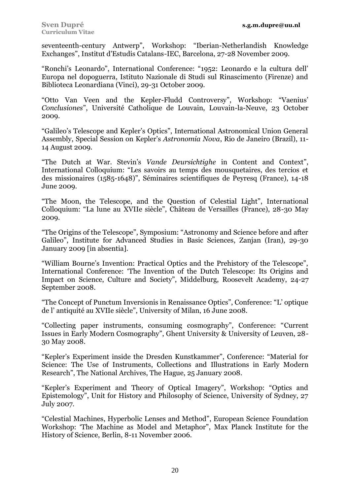seventeenth-century Antwerp", Workshop: "Iberian-Netherlandish Knowledge Exchanges", Institut d'Estudis Catalans-IEC, Barcelona, 27-28 November 2009.

"Ronchi's Leonardo", International Conference: "1952: Leonardo e la cultura dell' Europa nel dopoguerra, Istituto Nazionale di Studi sul Rinascimento (Firenze) and Biblioteca Leonardiana (Vinci), 29-31 October 2009.

"Otto Van Veen and the Kepler-Fludd Controversy", Workshop: "Vaenius' *Conclusiones*", Université Catholique de Louvain, Louvain-la-Neuve, 23 October 2009.

"Galileo's Telescope and Kepler's Optics", International Astronomical Union General Assembly, Special Session on Kepler's *Astronomia Nova*, Rio de Janeiro (Brazil), 11- 14 August 2009.

"The Dutch at War. Stevin's *Vande Deursichtighe* in Content and Context", International Colloquium: "Les savoirs au temps des mousquetaires, des tercios et des missionaires (1585-1648)", Séminaires scientifiques de Peyresq (France), 14-18 June 2009.

"The Moon, the Telescope, and the Question of Celestial Light", International Colloquium: "La lune au XVIIe siècle", Château de Versailles (France), 28-30 May 2009.

"The Origins of the Telescope", Symposium: "Astronomy and Science before and after Galileo", Institute for Advanced Studies in Basic Sciences, Zanjan (Iran), 29-30 January 2009 [in absentia].

"William Bourne's Invention: Practical Optics and the Prehistory of the Telescope", International Conference: 'The Invention of the Dutch Telescope: Its Origins and Impact on Science, Culture and Society", Middelburg, Roosevelt Academy, 24-27 September 2008.

"The Concept of Punctum Inversionis in Renaissance Optics", Conference: "L' optique de l' antiquité au XVIIe siècle", University of Milan, 16 June 2008.

"Collecting paper instruments, consuming cosmography", Conference: "Current Issues in Early Modern Cosmography", Ghent University & University of Leuven, 28- 30 May 2008.

"Kepler's Experiment inside the Dresden Kunstkammer", Conference: "Material for Science: The Use of Instruments, Collections and Illustrations in Early Modern Research", The National Archives, The Hague, 25 January 2008.

"Kepler's Experiment and Theory of Optical Imagery", Workshop: "Optics and Epistemology", Unit for History and Philosophy of Science, University of Sydney, 27 July 2007.

"Celestial Machines, Hyperbolic Lenses and Method", European Science Foundation Workshop: 'The Machine as Model and Metaphor", Max Planck Institute for the History of Science, Berlin, 8-11 November 2006.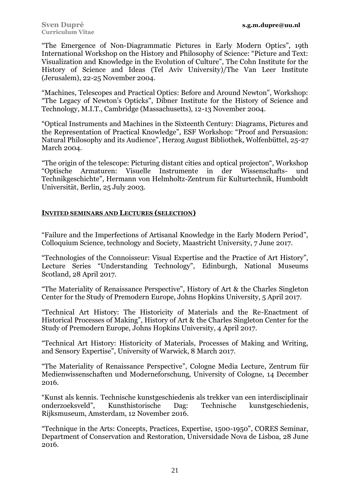"The Emergence of Non-Diagrammatic Pictures in Early Modern Optics", 19th International Workshop on the History and Philosophy of Science: "Picture and Text: Visualization and Knowledge in the Evolution of Culture", The Cohn Institute for the History of Science and Ideas (Tel Aviv University)/The Van Leer Institute (Jerusalem), 22-25 November 2004.

"Machines, Telescopes and Practical Optics: Before and Around Newton", Workshop: "The Legacy of Newton's Opticks", Dibner Institute for the History of Science and Technology, M.I.T., Cambridge (Massachusetts), 12-13 November 2004.

"Optical Instruments and Machines in the Sixteenth Century: Diagrams, Pictures and the Representation of Practical Knowledge", ESF Workshop: "Proof and Persuasion: Natural Philosophy and its Audience", Herzog August Bibliothek, Wolfenbüttel, 25-27 March 2004.

"The origin of the telescope: Picturing distant cities and optical projecton", Workshop "Optische Armaturen: Visuelle Instrumente in der Wissenschafts- und Technikgeschichte", Hermann von Helmholtz-Zentrum für Kulturtechnik, Humboldt Universität, Berlin, 25 July 2003.

## **INVITED SEMINARS AND LECTURES (SELECTION)**

"Failure and the Imperfections of Artisanal Knowledge in the Early Modern Period", Colloquium Science, technology and Society, Maastricht University, 7 June 2017.

"Technologies of the Connoisseur: Visual Expertise and the Practice of Art History", Lecture Series "Understanding Technology", Edinburgh, National Museums Scotland, 28 April 2017.

"The Materiality of Renaissance Perspective", History of Art & the Charles Singleton Center for the Study of Premodern Europe, Johns Hopkins University, 5 April 2017.

"Technical Art History: The Historicity of Materials and the Re-Enactment of Historical Processes of Making", History of Art & the Charles Singleton Center for the Study of Premodern Europe, Johns Hopkins University, 4 April 2017.

"Technical Art History: Historicity of Materials, Processes of Making and Writing, and Sensory Expertise", University of Warwick, 8 March 2017.

"The Materiality of Renaissance Perspective", Cologne Media Lecture, Zentrum für Medienwissenschaften und Moderneforschung, University of Cologne, 14 December 2016.

"Kunst als kennis. Technische kunstgeschiedenis als trekker van een interdisciplinair onderzoeksveld", Kunsthistorische Dag: Technische kunstgeschiedenis, Rijksmuseum, Amsterdam, 12 November 2016.

"Technique in the Arts: Concepts, Practices, Expertise, 1500-1950", CORES Seminar, Department of Conservation and Restoration, Universidade Nova de Lisboa, 28 June 2016.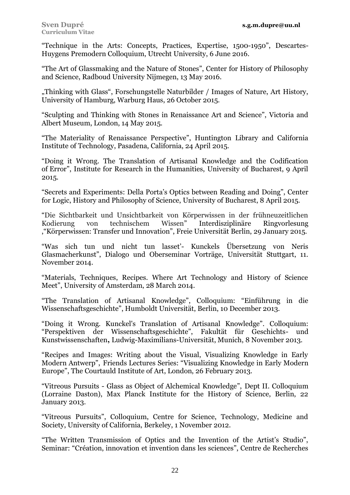"Technique in the Arts: Concepts, Practices, Expertise, 1500-1950", Descartes-Huygens Premodern Colloquium, Utrecht University, 6 June 2016.

"The Art of Glassmaking and the Nature of Stones", Center for History of Philosophy and Science, Radboud University Nijmegen, 13 May 2016.

"Thinking with Glass", Forschungstelle Naturbilder / Images of Nature, Art History, University of Hamburg, Warburg Haus, 26 October 2015.

"Sculpting and Thinking with Stones in Renaissance Art and Science", Victoria and Albert Museum, London, 14 May 2015.

"The Materiality of Renaissance Perspective", Huntington Library and California Institute of Technology, Pasadena, California, 24 April 2015.

"Doing it Wrong. The Translation of Artisanal Knowledge and the Codification of Error", Institute for Research in the Humanities, University of Bucharest, 9 April 2015.

"Secrets and Experiments: Della Porta's Optics between Reading and Doing", Center for Logic, History and Philosophy of Science, University of Bucharest, 8 April 2015.

"Die Sichtbarkeit und Unsichtbarkeit von Körperwissen in der frühneuzeitlichen Kodierung von technischem Wissen" Interdisziplinäre Ringvorlesung ,"Körperwissen: Transfer und Innovation", Freie Universität Berlin, 29 January 2015.

"Was sich tun und nicht tun lasset'- Kunckels Übersetzung von Neris Glasmacherkunst", Dialogo und Oberseminar Vorträge, Universität Stuttgart, 11. November 2014.

"Materials, Techniques, Recipes. Where Art Technology and History of Science Meet", University of Amsterdam, 28 March 2014.

"The Translation of Artisanal Knowledge", Colloquium: "Einführung in die Wissenschaftsgeschichte", Humboldt Universität, Berlin, 10 December 2013.

"Doing it Wrong. Kunckel's Translation of Artisanal Knowledge". Colloquium: "Perspektiven der Wissenschaftsgeschichte", Fakultät für Geschichts- und Kunstwissenschaften**,** Ludwig-Maximilians-Universität, Munich, 8 November 2013.

"Recipes and Images: Writing about the Visual, Visualizing Knowledge in Early Modern Antwerp", Friends Lectures Series: "Visualizing Knowledge in Early Modern Europe", The Courtauld Institute of Art, London, 26 February 2013.

"Vitreous Pursuits - Glass as Object of Alchemical Knowledge", Dept II. Colloquium (Lorraine Daston), Max Planck Institute for the History of Science, Berlin, 22 January 2013.

"Vitreous Pursuits", Colloquium, Centre for Science, Technology, Medicine and Society, University of California, Berkeley, 1 November 2012.

"The Written Transmission of Optics and the Invention of the Artist's Studio", Seminar: "Création, innovation et invention dans les sciences", Centre de Recherches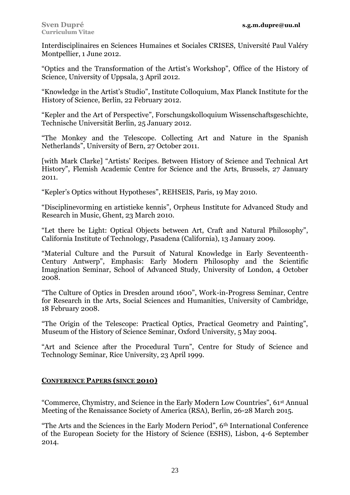Interdisciplinaires en Sciences Humaines et Sociales CRISES, Université Paul Valéry Montpellier, 1 June 2012.

"Optics and the Transformation of the Artist's Workshop", Office of the History of Science, University of Uppsala, 3 April 2012.

"Knowledge in the Artist's Studio", Institute Colloquium, Max Planck Institute for the History of Science, Berlin, 22 February 2012.

"Kepler and the Art of Perspective", Forschungskolloquium Wissenschaftsgeschichte, Technische Universität Berlin, 25 January 2012.

"The Monkey and the Telescope. Collecting Art and Nature in the Spanish Netherlands", University of Bern, 27 October 2011.

[with Mark Clarke] "Artists' Recipes. Between History of Science and Technical Art History", Flemish Academic Centre for Science and the Arts, Brussels, 27 January 2011.

"Kepler's Optics without Hypotheses", REHSEIS, Paris, 19 May 2010.

"Disciplinevorming en artistieke kennis", Orpheus Institute for Advanced Study and Research in Music, Ghent, 23 March 2010.

"Let there be Light: Optical Objects between Art, Craft and Natural Philosophy", California Institute of Technology, Pasadena (California), 13 January 2009.

"Material Culture and the Pursuit of Natural Knowledge in Early Seventeenth-Century Antwerp", Emphasis: Early Modern Philosophy and the Scientific Imagination Seminar, School of Advanced Study, University of London, 4 October 2008.

"The Culture of Optics in Dresden around 1600", Work-in-Progress Seminar, Centre for Research in the Arts, Social Sciences and Humanities, University of Cambridge, 18 February 2008.

"The Origin of the Telescope: Practical Optics, Practical Geometry and Painting", Museum of the History of Science Seminar, Oxford University, 5 May 2004.

"Art and Science after the Procedural Turn", Centre for Study of Science and Technology Seminar, Rice University, 23 April 1999.

# **CONFERENCE PAPERS (SINCE 2010)**

"Commerce, Chymistry, and Science in the Early Modern Low Countries", 61st Annual Meeting of the Renaissance Society of America (RSA), Berlin, 26-28 March 2015.

"The Arts and the Sciences in the Early Modern Period", 6th International Conference of the European Society for the History of Science (ESHS), Lisbon, 4-6 September 2014.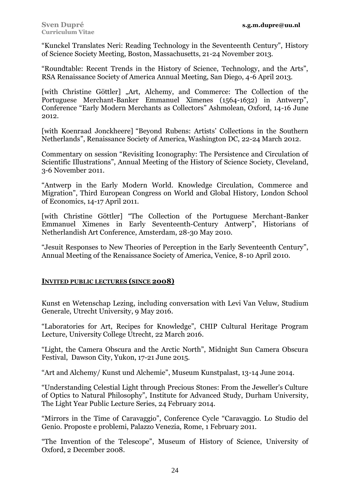"Kunckel Translates Neri: Reading Technology in the Seventeenth Century", History of Science Society Meeting, Boston, Massachusetts, 21-24 November 2013.

"Roundtable: Recent Trends in the History of Science, Technology, and the Arts", RSA Renaissance Society of America Annual Meeting, San Diego, 4-6 April 2013.

[with Christine Göttler] "Art, Alchemy, and Commerce: The Collection of the Portuguese Merchant-Banker Emmanuel Ximenes (1564-1632) in Antwerp", Conference "Early Modern Merchants as Collectors" Ashmolean, Oxford, 14-16 June 2012.

[with Koenraad Jonckheere] "Beyond Rubens: Artists' Collections in the Southern Netherlands", Renaissance Society of America, Washington DC, 22-24 March 2012.

Commentary on session "Revisiting Iconography: The Persistence and Circulation of Scientific Illustrations", Annual Meeting of the History of Science Society, Cleveland, 3-6 November 2011.

"Antwerp in the Early Modern World. Knowledge Circulation, Commerce and Migration", Third European Congress on World and Global History, London School of Economics, 14-17 April 2011.

[with Christine Göttler] "The Collection of the Portuguese Merchant-Banker Emmanuel Ximenes in Early Seventeenth-Century Antwerp", Historians of Netherlandish Art Conference, Amsterdam, 28-30 May 2010.

"Jesuit Responses to New Theories of Perception in the Early Seventeenth Century", Annual Meeting of the Renaissance Society of America, Venice, 8-10 April 2010.

## **INVITED PUBLIC LECTURES (SINCE 2008)**

Kunst en Wetenschap Lezing, including conversation with Levi Van Veluw, Studium Generale, Utrecht University, 9 May 2016.

"Laboratories for Art, Recipes for Knowledge", CHIP Cultural Heritage Program Lecture, University College Utrecht, 22 March 2016.

"Light, the Camera Obscura and the Arctic North", Midnight Sun Camera Obscura Festival, Dawson City, Yukon, 17-21 June 2015.

"Art and Alchemy/ Kunst und Alchemie", Museum Kunstpalast, 13-14 June 2014.

"Understanding Celestial Light through Precious Stones: From the Jeweller's Culture of Optics to Natural Philosophy", Institute for Advanced Study, Durham University, The Light Year Public Lecture Series, 24 February 2014.

"Mirrors in the Time of Caravaggio", Conference Cycle "Caravaggio. Lo Studio del Genio. Proposte e problemi, Palazzo Venezia, Rome, 1 February 2011.

"The Invention of the Telescope", Museum of History of Science, University of Oxford, 2 December 2008.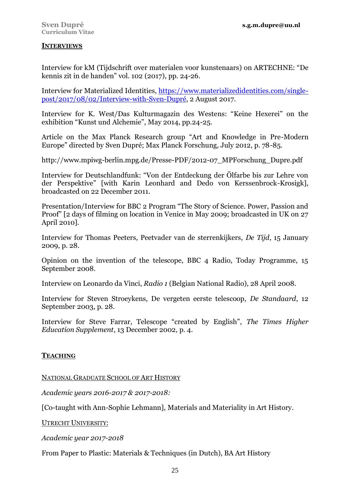## **INTERVIEWS**

Interview for kM (Tijdschrift over materialen voor kunstenaars) on ARTECHNE: "De kennis zit in de handen" vol. 102 (2017), pp. 24-26.

Interview for Materialized Identities, [https://www.materializedidentities.com/single](https://www.materializedidentities.com/single-post/2017/08/02/Interview-with-Sven-Dupré)[post/2017/08/02/Interview-with-Sven-Dupré,](https://www.materializedidentities.com/single-post/2017/08/02/Interview-with-Sven-Dupré) 2 August 2017.

Interview for K. West/Das Kulturmagazin des Westens: "Keine Hexerei" on the exhibition "Kunst und Alchemie", May 2014, pp.24-25.

Article on the Max Planck Research group "Art and Knowledge in Pre-Modern Europe" directed by Sven Dupré; Max Planck Forschung, July 2012, p. 78-85.

http://www.mpiwg-berlin.mpg.de/Presse-PDF/2012-07\_MPForschung\_Dupre.pdf

Interview for Deutschlandfunk: "Von der Entdeckung der Ölfarbe bis zur Lehre von der Perspektive" [with Karin Leonhard and Dedo von Kerssenbrock-Krosigk], broadcasted on 22 December 2011.

Presentation/Interview for BBC 2 Program "The Story of Science. Power, Passion and Proof" [2 days of filming on location in Venice in May 2009; broadcasted in UK on 27 April 2010].

Interview for Thomas Peeters, Peetvader van de sterrenkijkers, *De Tijd*, 15 January 2009, p. 28.

Opinion on the invention of the telescope, BBC 4 Radio, Today Programme, 15 September 2008.

Interview on Leonardo da Vinci, *Radio 1* (Belgian National Radio), 28 April 2008.

Interview for Steven Stroeykens, De vergeten eerste telescoop, *De Standaard*, 12 September 2003, p. 28.

Interview for Steve Farrar, Telescope "created by English", *The Times Higher Education Supplement*, 13 December 2002, p. 4.

## **TEACHING**

NATIONAL GRADUATE SCHOOL OF ART HISTORY

*Academic years 2016-2017 & 2017-2018:*

[Co-taught with Ann-Sophie Lehmann], Materials and Materiality in Art History.

UTRECHT UNIVERSITY:

*Academic year 2017-2018*

From Paper to Plastic: Materials & Techniques (in Dutch), BA Art History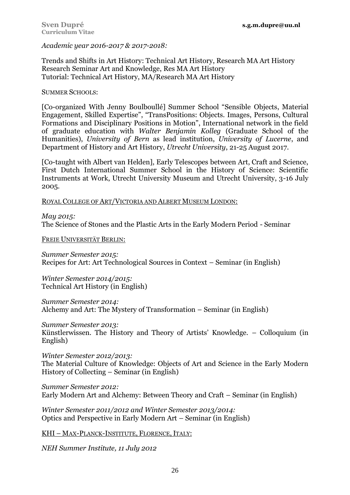*Academic year 2016-2017 & 2017-2018:*

Trends and Shifts in Art History: Technical Art History, Research MA Art History Research Seminar Art and Knowledge, Res MA Art History Tutorial: Technical Art History, MA/Research MA Art History

SUMMER SCHOOLS:

[Co-organized With Jenny Boulboullé] Summer School "Sensible Objects, Material Engagement, Skilled Expertise", "TransPositions: Objects. Images, Persons, Cultural Formations and Disciplinary Positions in Motion", International network in the field of graduate education with *Walter Benjamin Kolleg* (Graduate School of the Humanities), *University of Bern* as lead institution, *University of Lucerne*, and Department of History and Art History, *Utrecht University*, 21-25 August 2017.

[Co-taught with Albert van Helden], Early Telescopes between Art, Craft and Science, First Dutch International Summer School in the History of Science: Scientific Instruments at Work, Utrecht University Museum and Utrecht University, 3-16 July 2005.

ROYAL COLLEGE OF ART/VICTORIA AND ALBERT MUSEUM LONDON:

*May 2015:* The Science of Stones and the Plastic Arts in the Early Modern Period - Seminar

FREIE UNIVERSITÄT BERLIN:

*Summer Semester 2015:* Recipes for Art: Art Technological Sources in Context – Seminar (in English)

*Winter Semester 2014/2015:* Technical Art History (in English)

*Summer Semester 2014:* Alchemy and Art: The Mystery of Transformation – Seminar (in English)

*Summer Semester 2013:* Künstlerwissen. The History and Theory of Artists' Knowledge. – Colloquium (in English)

*Winter Semester 2012/2013:* The Material Culture of Knowledge: Objects of Art and Science in the Early Modern History of Collecting – Seminar (in English)

*Summer Semester 2012:* Early Modern Art and Alchemy: Between Theory and Craft – Seminar (in English)

*Winter Semester 2011/2012 and Winter Semester 2013/2014:* Optics and Perspective in Early Modern Art – Seminar (in English)

KHI - MAX-PLANCK-INSTITUTE, FLORENCE, ITALY:

*NEH Summer Institute, 11 July 2012*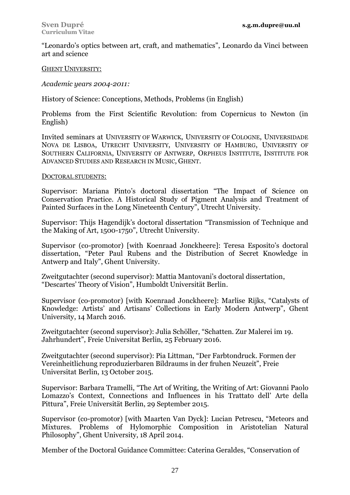"Leonardo's optics between art, craft, and mathematics", Leonardo da Vinci between art and science

### GHENT UNIVERSITY:

*Academic years 2004-2011:*

History of Science: Conceptions, Methods, Problems (in English)

Problems from the First Scientific Revolution: from Copernicus to Newton (in English)

Invited seminars at UNIVERSITY OF WARWICK, UNIVERSITY OF COLOGNE, UNIVERSIDADE NOVA DE LISBOA, UTRECHT UNIVERSITY, UNIVERSITY OF HAMBURG, UNIVERSITY OF SOUTHERN CALIFORNIA, UNIVERSITY OF ANTWERP, ORPHEUS INSTITUTE, INSTITUTE FOR ADVANCED STUDIES AND RESEARCH IN MUSIC, GHENT.

#### DOCTORAL STUDENTS:

Supervisor: Mariana Pinto's doctoral dissertation "The Impact of Science on Conservation Practice. A Historical Study of Pigment Analysis and Treatment of Painted Surfaces in the Long Nineteenth Century", Utrecht University.

Supervisor: Thijs Hagendijk's doctoral dissertation "Transmission of Technique and the Making of Art, 1500-1750", Utrecht University.

Supervisor (co-promotor) [with Koenraad Jonckheere]: Teresa Esposito's doctoral dissertation, "Peter Paul Rubens and the Distribution of Secret Knowledge in Antwerp and Italy", Ghent University.

Zweitgutachter (second supervisor): Mattia Mantovani's doctoral dissertation, "Descartes' Theory of Vision", Humboldt Universität Berlin.

Supervisor (co-promotor) [with Koenraad Jonckheere]: Marlise Rijks, "Catalysts of Knowledge: Artists' and Artisans' Collections in Early Modern Antwerp", Ghent University, 14 March 2016.

Zweitgutachter (second supervisor): Julia Schöller, "Schatten. Zur Malerei im 19. Jahrhundert", Freie Universitat Berlin, 25 February 2016.

Zweitgutachter (second supervisor): Pia Littman, "Der Farbtondruck. Formen der Vereinheitlichung reproduzierbaren Bildraums in der fruhen Neuzeit", Freie Universitat Berlin, 13 October 2015.

Supervisor: Barbara Tramelli, "The Art of Writing, the Writing of Art: Giovanni Paolo Lomazzo's Context, Connections and Influences in his Trattato dell' Arte della Pittura", Freie Universität Berlin, 29 September 2015.

Supervisor (co-promotor) [with Maarten Van Dyck]: Lucian Petrescu, "Meteors and Mixtures. Problems of Hylomorphic Composition in Aristotelian Natural Philosophy", Ghent University, 18 April 2014.

Member of the Doctoral Guidance Committee: Caterina Geraldes, "Conservation of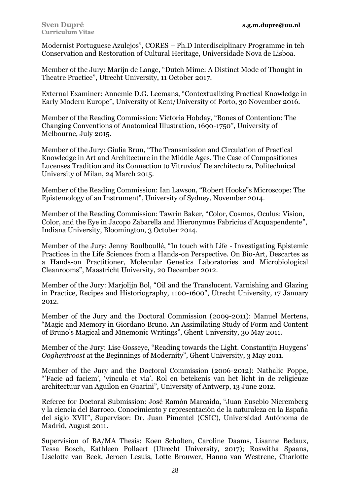Modernist Portuguese Azulejos", CORES – Ph.D Interdisciplinary Programme in teh Conservation and Restoration of Cultural Heritage, Universidade Nova de Lisboa.

Member of the Jury: Marijn de Lange, "Dutch Mime: A Distinct Mode of Thought in Theatre Practice", Utrecht University, 11 October 2017.

External Examiner: Annemie D.G. Leemans, "Contextualizing Practical Knowledge in Early Modern Europe", University of Kent/University of Porto, 30 November 2016.

Member of the Reading Commission: Victoria Hobday, "Bones of Contention: The Changing Conventions of Anatomical Illustration, 1690-1750", University of Melbourne, July 2015.

Member of the Jury: Giulia Brun, "The Transmission and Circulation of Practical Knowledge in Art and Architecture in the Middle Ages. The Case of Compositiones Lucenses Tradition and its Connection to Vitruvius' De architectura, Politechnical University of Milan, 24 March 2015.

Member of the Reading Commission: Ian Lawson, "Robert Hooke"s Microscope: The Epistemology of an Instrument", University of Sydney, November 2014.

Member of the Reading Commission: Tawrin Baker, "Color, Cosmos, Oculus: Vision, Color, and the Eye in Jacopo Zabarella and Hieronymus Fabricius d'Acquapendente", Indiana University, Bloomington, 3 October 2014.

Member of the Jury: Jenny Boulboullé, "In touch with Life - Investigating Epistemic Practices in the Life Sciences from a Hands-on Perspective. On Bio-Art, Descartes as a Hands-on Practitioner, Molecular Genetics Laboratories and Microbiological Cleanrooms", Maastricht University, 20 December 2012.

Member of the Jury: Marjolijn Bol, "Oil and the Translucent. Varnishing and Glazing in Practice, Recipes and Historiography, 1100-1600", Utrecht University, 17 January 2012.

Member of the Jury and the Doctoral Commission (2009-2011): Manuel Mertens, "Magic and Memory in Giordano Bruno. An Assimilating Study of Form and Content of Bruno's Magical and Mnemonic Writings", Ghent University, 30 May 2011.

Member of the Jury: Lise Gosseye, "Reading towards the Light. Constantijn Huygens' *Ooghentroost* at the Beginnings of Modernity", Ghent University, 3 May 2011.

Member of the Jury and the Doctoral Commission (2006-2012): Nathalie Poppe, "'Facie ad faciem', 'vincula et via'. Rol en betekenis van het licht in de religieuze architectuur van Aguilon en Guarini", University of Antwerp, 13 June 2012.

Referee for Doctoral Submission: José Ramón Marcaida, "Juan Eusebio Nieremberg y la ciencia del Barroco. Conocimiento y representación de la naturaleza en la España del siglo XVII", Supervisor: Dr. Juan Pimentel (CSIC), Universidad Autónoma de Madrid, August 2011.

Supervision of BA/MA Thesis: Koen Scholten, Caroline Daams, Lisanne Bedaux, Tessa Bosch, Kathleen Pollaert (Utrecht University, 2017); Roswitha Spaans, Liselotte van Beek, Jeroen Lesuis, Lotte Brouwer, Hanna van Westrene, Charlotte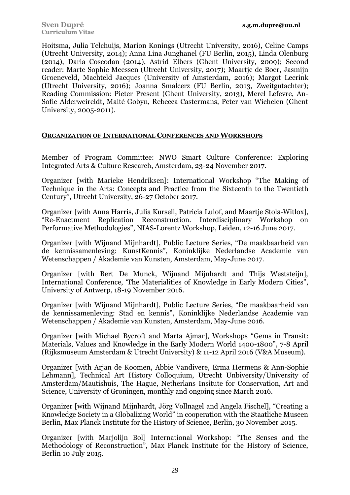Hoitsma, Julia Telchuijs, Marion Konings (Utrecht University, 2016), Celine Camps (Utrecht University, 2014); Anna Lina Junghanel (FU Berlin, 2015), Linda Olenburg (2014), Daria Coscodan (2014), Astrid Elbers (Ghent University, 2009); Second reader: Marte Sophie Meessen (Utrecht University, 2017); Maartje de Boer, Jasmijn Groeneveld, Machteld Jacques (University of Amsterdam, 2016); Margot Leerink (Utrecht University, 2016); Joanna Smalcerz (FU Berlin, 2013, Zweitgutachter); Reading Commission: Pieter Present (Ghent University, 2013), Merel Lefevre, An-Sofie Alderweireldt, Maité Gobyn, Rebecca Castermans, Peter van Wichelen (Ghent University, 2005-2011).

## **ORGANIZATION OF INTERNATIONAL CONFERENCES AND WORKSHOPS**

Member of Program Committee: NWO Smart Culture Conference: Exploring Integrated Arts & Culture Research, Amsterdam, 23-24 November 2017.

Organizer [with Marieke Hendriksen]: International Workshop "The Making of Technique in the Arts: Concepts and Practice from the Sixteenth to the Twentieth Century", Utrecht University, 26-27 October 2017.

Organizer [with Anna Harris, Julia Kursell, Patricia Lulof, and Maartje Stols-Witlox], "Re-Enactment Replication Reconstruction. Interdisciplinary Workshop on Performative Methodologies", NIAS-Lorentz Workshop, Leiden, 12-16 June 2017.

Organizer [with Wijnand Mijnhardt], Public Lecture Series, "De maakbaarheid van de kennissamenleving: KunstKennis", Koninklijke Nederlandse Academie van Wetenschappen / Akademie van Kunsten, Amsterdam, May-June 2017.

Organizer [with Bert De Munck, Wijnand Mijnhardt and Thijs Weststeijn], International Conference, 'The Materialities of Knowledge in Early Modern Cities", University of Antwerp, 18-19 November 2016.

Organizer [with Wijnand Mijnhardt], Public Lecture Series, "De maakbaarheid van de kennissamenleving: Stad en kennis", Koninklijke Nederlandse Academie van Wetenschappen / Akademie van Kunsten, Amsterdam, May-June 2016.

Organizer [with Michael Bycroft and Marta Ajmar], Workshops "Gems in Transit: Materials, Values and Knowledge in the Early Modern World 1400-1800", 7-8 April (Rijksmuseum Amsterdam & Utrecht University) & 11-12 April 2016 (V&A Museum).

Organizer [with Arjan de Koomen, Abbie Vandivere, Erma Hermens & Ann-Sophie Lehmann], Technical Art History Colloquium, Utrecht Unbiversity/University of Amsterdam/Mautishuis, The Hague, Netherlans Insitute for Conservation, Art and Science, University of Groningen, monthly and ongoing since March 2016.

Organizer [with Wijnand Mijnhardt, Jörg Vollnagel and Angela Fischel], "Creating a Knowledge Society in a Globalizing World" in cooperation with the Staatliche Museen Berlin, Max Planck Institute for the History of Science, Berlin, 30 November 2015.

Organizer [with Marjolijn Bol] International Workshop: "The Senses and the Methodology of Reconstruction", Max Planck Institute for the History of Science, Berlin 10 July 2015.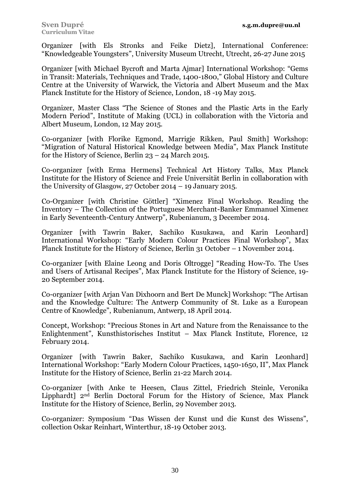Organizer [with Els Stronks and Feike Dietz], International Conference: "Knowledgeable Youngsters", University Museum Utrecht, Utrecht, 26-27 June 2015

Organizer [with Michael Bycroft and Marta Ajmar] International Workshop: "Gems in Transit: Materials, Techniques and Trade, 1400-1800," Global History and Culture Centre at the University of Warwick, the Victoria and Albert Museum and the Max Planck Institute for the History of Science, London, 18 -19 May 2015.

Organizer, Master Class "The Science of Stones and the Plastic Arts in the Early Modern Period", Institute of Making (UCL) in collaboration with the Victoria and Albert Museum, London, 12 May 2015.

Co-organizer [with Florike Egmond, Marrigje Rikken, Paul Smith] Workshop: "Migration of Natural Historical Knowledge between Media", Max Planck Institute for the History of Science, Berlin 23 – 24 March 2015.

Co-organizer [with Erma Hermens] Technical Art History Talks, Max Planck Institute for the History of Science and Freie Universität Berlin in collaboration with the University of Glasgow, 27 October 2014 – 19 January 2015.

Co-Organizer [with Christine Göttler] "Ximenez Final Workshop. Reading the Inventory – The Collection of the Portuguese Merchant-Banker Emmanuel Ximenez in Early Seventeenth-Century Antwerp", Rubenianum, 3 December 2014.

Organizer [with Tawrin Baker, Sachiko Kusukawa, and Karin Leonhard] International Workshop: "Early Modern Colour Practices Final Workshop", Max Planck Institute for the History of Science, Berlin 31 October – 1 November 2014.

Co-organizer [with Elaine Leong and Doris Oltrogge] "Reading How-To. The Uses and Users of Artisanal Recipes", Max Planck Institute for the History of Science, 19- 20 September 2014.

Co-organizer [with Arjan Van Dixhoorn and Bert De Munck] Workshop: "The Artisan and the Knowledge Culture: The Antwerp Community of St. Luke as a European Centre of Knowledge", Rubenianum, Antwerp, 18 April 2014.

Concept, Workshop: "Precious Stones in Art and Nature from the Renaissance to the Enlightenment", Kunsthistorisches Institut – Max Planck Institute, Florence, 12 February 2014.

Organizer [with Tawrin Baker, Sachiko Kusukawa, and Karin Leonhard] International Workshop: "Early Modern Colour Practices, 1450-1650, II", Max Planck Institute for the History of Science, Berlin 21-22 March 2014.

Co-organizer [with Anke te Heesen, Claus Zittel, Friedrich Steinle, Veronika Lipphardt] 2nd Berlin Doctoral Forum for the History of Science, Max Planck Institute for the History of Science, Berlin, 29 November 2013.

Co-organizer: Symposium "Das Wissen der Kunst und die Kunst des Wissens", collection Oskar Reinhart, Winterthur, 18-19 October 2013.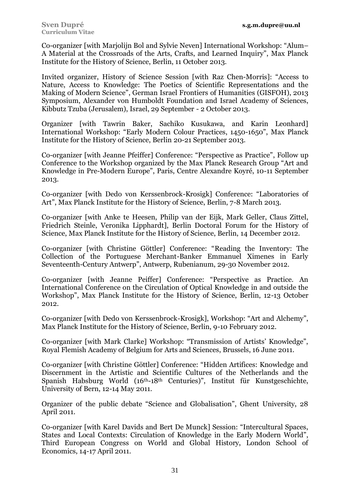Co-organizer [with Marjolijn Bol and Sylvie Neven] International Workshop: "Alum– A Material at the Crossroads of the Arts, Crafts, and Learned Inquiry", Max Planck Institute for the History of Science, Berlin, 11 October 2013.

Invited organizer, History of Science Session [with Raz Chen-Morris]: "Access to Nature, Access to Knowledge: The Poetics of Scientific Representations and the Making of Modern Science", German Israel Frontiers of Humanities (GISFOH), 2013 Symposium, Alexander von Humboldt Foundation and Israel Academy of Sciences, Kibbutz Tzuba (Jerusalem), Israel, 29 September - 2 October 2013.

Organizer [with Tawrin Baker, Sachiko Kusukawa, and Karin Leonhard] International Workshop: "Early Modern Colour Practices, 1450-1650", Max Planck Institute for the History of Science, Berlin 20-21 September 2013.

Co-organizer [with Jeanne Pfeiffer] Conference: "Perspective as Practice", Follow up Conference to the Workshop organized by the Max Planck Research Group "Art and Knowledge in Pre-Modern Europe", Paris, Centre Alexandre Koyré, 10-11 September 2013.

Co-organizer [with Dedo von Kerssenbrock-Krosigk] Conference: "Laboratories of Art", Max Planck Institute for the History of Science, Berlin, 7-8 March 2013.

Co-organizer [with Anke te Heesen, Philip van der Eijk, Mark Geller, Claus Zittel, Friedrich Steinle, Veronika Lipphardt], Berlin Doctoral Forum for the History of Science, Max Planck Institute for the History of Science, Berlin, 14 December 2012.

Co-organizer [with Christine Göttler] Conference: "Reading the Inventory: The Collection of the Portuguese Merchant-Banker Emmanuel Ximenes in Early Seventeenth-Century Antwerp", Antwerp, Rubenianum, 29-30 November 2012.

Co-organizer [with Jeanne Peiffer] Conference: "Perspective as Practice. An International Conference on the Circulation of Optical Knowledge in and outside the Workshop", Max Planck Institute for the History of Science, Berlin, 12-13 October 2012.

Co-organizer [with Dedo von Kerssenbrock-Krosigk], Workshop: "Art and Alchemy", Max Planck Institute for the History of Science, Berlin, 9-10 February 2012.

Co-organizer [with Mark Clarke] Workshop: "Transmission of Artists' Knowledge", Royal Flemish Academy of Belgium for Arts and Sciences, Brussels, 16 June 2011.

Co-organizer [with Christine Göttler] Conference: "Hidden Artifices: Knowledge and Discernment in the Artistic and Scientific Cultures of the Netherlands and the Spanish Habsburg World (16th-18th Centuries)", Institut für Kunstgeschichte, University of Bern, 12-14 May 2011.

Organizer of the public debate "Science and Globalisation", Ghent University, 28 April 2011.

Co-organizer [with Karel Davids and Bert De Munck] Session: "Intercultural Spaces, States and Local Contexts: Circulation of Knowledge in the Early Modern World", Third European Congress on World and Global History, London School of Economics, 14-17 April 2011.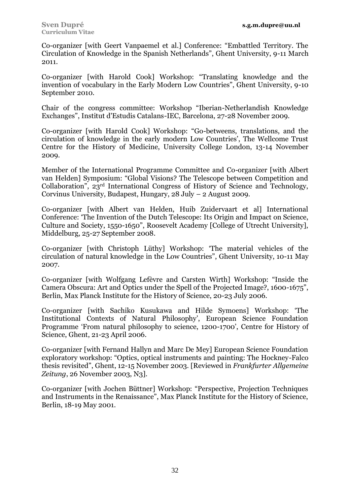Co-organizer [with Geert Vanpaemel et al.] Conference: "Embattled Territory. The Circulation of Knowledge in the Spanish Netherlands", Ghent University, 9-11 March 2011.

Co-organizer [with Harold Cook] Workshop: "Translating knowledge and the invention of vocabulary in the Early Modern Low Countries", Ghent University, 9-10 September 2010.

Chair of the congress committee: Workshop "Iberian-Netherlandish Knowledge Exchanges", Institut d'Estudis Catalans-IEC, Barcelona, 27-28 November 2009.

Co-organizer [with Harold Cook] Workshop: "Go-betweens, translations, and the circulation of knowledge in the early modern Low Countries', The Wellcome Trust Centre for the History of Medicine, University College London, 13-14 November 2009.

Member of the International Programme Committee and Co-organizer [with Albert van Helden] Symposium: "Global Visions? The Telescope between Competition and Collaboration", 23rd International Congress of History of Science and Technology, Corvinus University, Budapest, Hungary, 28 July – 2 August 2009.

Co-organizer [with Albert van Helden, Huib Zuidervaart et al] International Conference: 'The Invention of the Dutch Telescope: Its Origin and Impact on Science, Culture and Society, 1550-1650", Roosevelt Academy [College of Utrecht University], Middelburg, 25-27 September 2008.

Co-organizer [with Christoph Lüthy] Workshop: 'The material vehicles of the circulation of natural knowledge in the Low Countries", Ghent University, 10-11 May 2007.

Co-organizer [with Wolfgang Lefèvre and Carsten Wirth] Workshop: "Inside the Camera Obscura: Art and Optics under the Spell of the Projected Image?, 1600-1675", Berlin, Max Planck Institute for the History of Science, 20-23 July 2006.

Co-organizer [with Sachiko Kusukawa and Hilde Symoens] Workshop: 'The Institutional Contexts of Natural Philosophy', European Science Foundation Programme 'From natural philosophy to science, 1200-1700', Centre for History of Science, Ghent, 21-23 April 2006.

Co-organizer [with Fernand Hallyn and Marc De Mey] European Science Foundation exploratory workshop: "Optics, optical instruments and painting: The Hockney-Falco thesis revisited", Ghent, 12-15 November 2003. [Reviewed in *Frankfurter Allgemeine Zeitung*, 26 November 2003, N3].

Co-organizer [with Jochen Büttner] Workshop: "Perspective, Projection Techniques and Instruments in the Renaissance", Max Planck Institute for the History of Science, Berlin, 18-19 May 2001.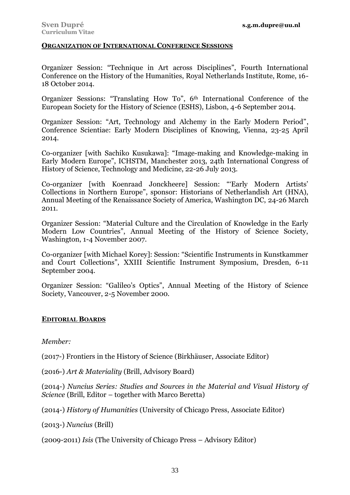### **ORGANIZATION OF INTERNATIONAL CONFERENCE SESSIONS**

Organizer Session: "Technique in Art across Disciplines", Fourth International Conference on the History of the Humanities, Royal Netherlands Institute, Rome, 16- 18 October 2014.

Organizer Sessions: "Translating How To", 6th International Conference of the European Society for the History of Science (ESHS), Lisbon, 4-6 September 2014.

Organizer Session: "Art, Technology and Alchemy in the Early Modern Period", Conference Scientiae: Early Modern Disciplines of Knowing, Vienna, 23-25 April 2014.

Co-organizer [with Sachiko Kusukawa]: "Image-making and Knowledge-making in Early Modern Europe", ICHSTM, Manchester 2013, 24th International Congress of History of Science, Technology and Medicine, 22-26 July 2013.

Co-organizer [with Koenraad Jonckheere] Session: "'Early Modern Artists' Collections in Northern Europe", sponsor: Historians of Netherlandish Art (HNA), Annual Meeting of the Renaissance Society of America, Washington DC, 24-26 March 2011.

Organizer Session: "Material Culture and the Circulation of Knowledge in the Early Modern Low Countries", Annual Meeting of the History of Science Society, Washington, 1-4 November 2007.

Co-organizer [with Michael Korey]: Session: "Scientific Instruments in Kunstkammer and Court Collections", XXIII Scientific Instrument Symposium, Dresden, 6-11 September 2004.

Organizer Session: "Galileo's Optics", Annual Meeting of the History of Science Society, Vancouver, 2-5 November 2000.

## **EDITORIAL BOARDS**

*Member:*

(2017-) Frontiers in the History of Science (Birkhäuser, Associate Editor)

(2016-) *Art & Materiality* (Brill, Advisory Board)

(2014-) *Nuncius Series: Studies and Sources in the Material and Visual History of Science* (Brill, Editor – together with Marco Beretta)

(2014-) *History of Humanities* (University of Chicago Press, Associate Editor)

(2013-) *Nuncius* (Brill)

(2009-2011) *Isis* (The University of Chicago Press – Advisory Editor)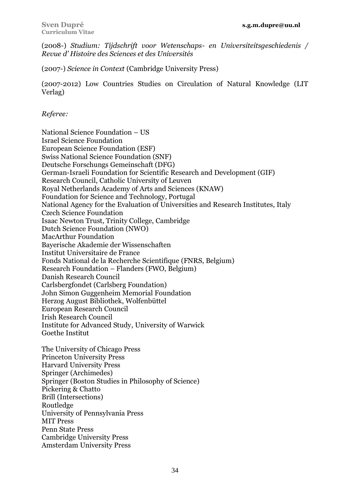(2008-) *Studium: Tijdschrift voor Wetenschaps- en Universiteitsgeschiedenis / Revue d' Histoire des Sciences et des Universités*

(2007-) *Science in Context* (Cambridge University Press)

(2007-2012) Low Countries Studies on Circulation of Natural Knowledge (LIT Verlag)

*Referee:*

National Science Foundation – US Israel Science Foundation European Science Foundation (ESF) Swiss National Science Foundation (SNF) Deutsche Forschungs Gemeinschaft (DFG) German-Israeli Foundation for Scientific Research and Development (GIF) Research Council, Catholic University of Leuven Royal Netherlands Academy of Arts and Sciences (KNAW) Foundation for Science and Technology, Portugal National Agency for the Evaluation of Universities and Research Institutes, Italy Czech Science Foundation Isaac Newton Trust, Trinity College, Cambridge Dutch Science Foundation (NWO) MacArthur Foundation Bayerische Akademie der Wissenschaften Institut Universitaire de France Fonds National de la Recherche Scientifique (FNRS, Belgium) Research Foundation – Flanders (FWO, Belgium) Danish Research Council Carlsbergfondet (Carlsberg Foundation) John Simon Guggenheim Memorial Foundation Herzog August Bibliothek, Wolfenbüttel European Research Council Irish Research Council Institute for Advanced Study, University of Warwick Goethe Institut The University of Chicago Press Princeton University Press Harvard University Press Springer (Archimedes) Springer (Boston Studies in Philosophy of Science) Pickering & Chatto Brill (Intersections) Routledge University of Pennsylvania Press MIT Press Penn State Press Cambridge University Press

Amsterdam University Press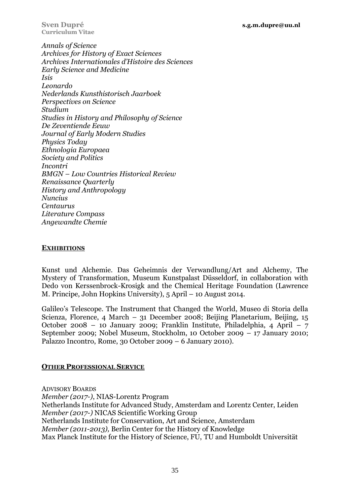**Curriculum Vitae**

*Annals of Science Archives for History of Exact Sciences Archives Internationales d'Histoire des Sciences Early Science and Medicine Isis Leonardo Nederlands Kunsthistorisch Jaarboek Perspectives on Science Studium Studies in History and Philosophy of Science De Zeventiende Eeuw Journal of Early Modern Studies Physics Today Ethnologia Europaea Society and Politics Incontri BMGN – Low Countries Historical Review Renaissance Quarterly History and Anthropology Nuncius Centaurus Literature Compass Angewandte Chemie*

## **EXHIBITIONS**

Kunst und Alchemie. Das Geheimnis der Verwandlung/Art and Alchemy, The Mystery of Transformation, Museum Kunstpalast Düsseldorf, in collaboration with Dedo von Kerssenbrock-Krosigk and the Chemical Heritage Foundation (Lawrence M. Principe, John Hopkins University), 5 April – 10 August 2014.

Galileo's Telescope. The Instrument that Changed the World, Museo di Storia della Scienza, Florence, 4 March – 31 December 2008; Beijing Planetarium, Beijing, 15 October 2008 – 10 January 2009; Franklin Institute, Philadelphia, 4 April – 7 September 2009; Nobel Museum, Stockholm, 10 October 2009 – 17 January 2010; Palazzo Incontro, Rome, 30 October 2009 – 6 January 2010).

## **OTHER PROFESSIONAL SERVICE**

ADVISORY BOARDS *Member (2017-)*, NIAS-Lorentz Program Netherlands Institute for Advanced Study, Amsterdam and Lorentz Center, Leiden *Member (2017-)* NICAS Scientific Working Group Netherlands Institute for Conservation, Art and Science, Amsterdam *Member (2011-2013),* Berlin Center for the History of Knowledge Max Planck Institute for the History of Science, FU, TU and Humboldt Universität